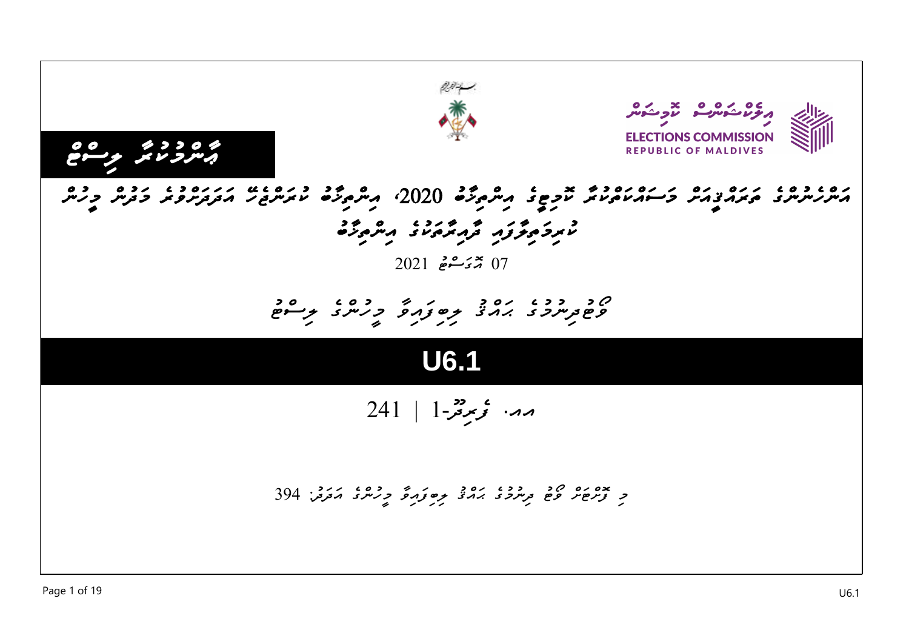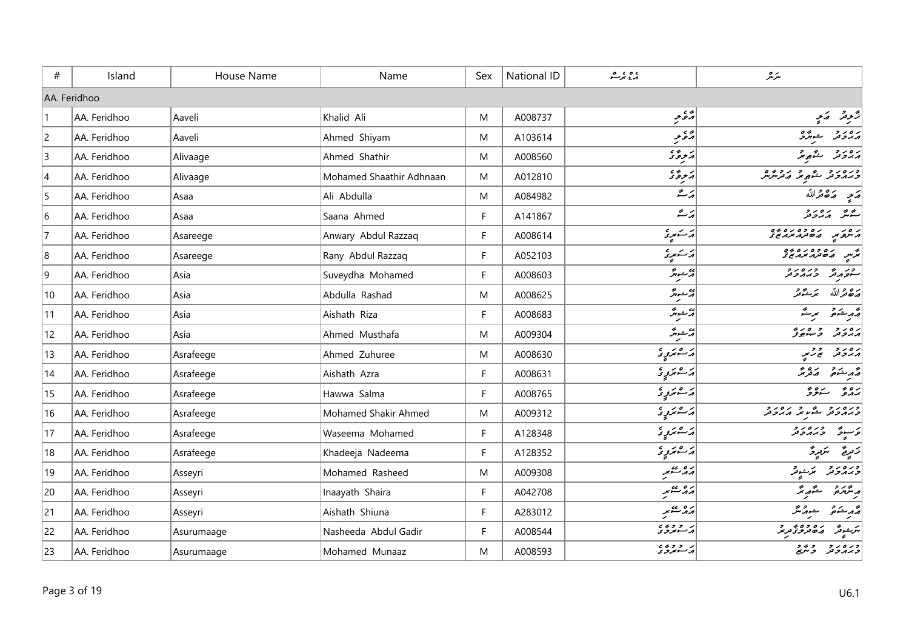| #              | Island       | House Name | Name                     | Sex       | National ID | ړه پر ه                                 | ىئرىتر                                            |
|----------------|--------------|------------|--------------------------|-----------|-------------|-----------------------------------------|---------------------------------------------------|
|                | AA. Feridhoo |            |                          |           |             |                                         |                                                   |
|                | AA. Feridhoo | Aaveli     | Khalid Ali               | M         | A008737     | رمنج مر                                 | رَّحِرَ دَجٍ                                      |
| $\overline{c}$ | AA. Feridhoo | Aaveli     | Ahmed Shiyam             | M         | A103614     | پژځ مخه                                 | ره رو شورگره<br>در سرگر                           |
| 3              | AA. Feridhoo | Alivaage   | Ahmed Shathir            | M         | A008560     | <br>  پر یوری                           | رەرو ئەچ                                          |
| $\overline{4}$ | AA. Feridhoo | Alivaage   | Mohamed Shaathir Adhnaan | M         | A012810     | أتروح                                   | ورەرو شەپر ئەدەرە                                 |
| 5              | AA. Feridhoo | Asaa       | Ali Abdulla              | M         | A084982     | رئە                                     | أصَعِيد صَفَّقَدَاللَّهُ                          |
| $\sqrt{6}$     | AA. Feridhoo | Asaa       | Saana Ahmed              | F         | A141867     | رئە                                     | ششر كەردىر                                        |
| $\overline{7}$ | AA. Feridhoo | Asareege   | Anwary Abdul Razzaq      | F         | A008614     | ېر کے بیری<br>مرگ                       | ג סג ג סיכס גם בם<br>ג יינפיג ג פינג דג ביצ       |
| 8              | AA. Feridhoo | Asareege   | Rany Abdul Razzaq        | F         | A052103     | لەسكە بېرى                              | پوس ده وه ده ده.<br>مرس مصرم مرمرح                |
| 9              | AA. Feridhoo | Asia       | Suveydha Mohamed         | F         | A008603     | ر<br>م شورگر                            | يشورش ورەرو                                       |
| 10             | AA. Feridhoo | Asia       | Abdulla Rashad           | M         | A008625     | پژھودگر                                 | رەقراللە ئىرگەر                                   |
| 11             | AA. Feridhoo | Asia       | Aishath Riza             | F.        | A008683     | پژے پر                                  | أقهر شوقو المرسكر                                 |
| 12             | AA. Feridhoo | Asia       | Ahmed Musthafa           | M         | A009304     | پژھورگر                                 | رەرد دەرد<br>مەدىر دىببوتى                        |
| 13             | AA. Feridhoo | Asrafeege  | Ahmed Zuhuree            | ${\sf M}$ | A008630     | ىز س <sup>9</sup> ىئرى <sub>ۋى</sub> ئە | ړه روپه وري                                       |
| 14             | AA. Feridhoo | Asrafeege  | Aishath Azra             | F         | A008631     | ىز س <sup>9</sup> ىئرى <sub>ر</sub> ؟   | و دره ده در در در در برگر<br>مرگ                  |
| 15             | AA. Feridhoo | Asrafeege  | Hawwa Salma              | F         | A008765     | ىز س <sup>9</sup> ىئرى <sub>ر</sub> ؟   | رەپ سەدى                                          |
| 16             | AA. Feridhoo | Asrafeege  | Mohamed Shakir Ahmed     | M         | A009312     | ئەس <sup>ى</sup> دىمرىي ئە              | ورەرو شەرىر دەرو                                  |
| 17             | AA. Feridhoo | Asrafeege  | Waseema Mohamed          | F         | A128348     | ى مەمكەر <sub>ى</sub> ئە                | ى بەر دىرەرد                                      |
| 18             | AA. Feridhoo | Asrafeege  | Khadeeja Nadeema         | F         | A128352     | ىر سەئىرى <sub>رى</sub> ج               | زَمْرِيحٌ سَرَمْرِيُّ                             |
| 19             | AA. Feridhoo | Asseyri    | Mohamed Rasheed          | M         | A009308     | لئەھرىيىمىر                             | وره رو بر به ده<br>در بروتر بر بر                 |
| 20             | AA. Feridhoo | Asseyri    | Inaayath Shaira          | F         | A042708     | لهره يھمبر                              | وسترمز شروبتر                                     |
| 21             | AA. Feridhoo | Asseyri    | Aishath Shiuna           | F         | A283012     | لهزه يئمير                              | وكرمشكم الشور مشر                                 |
| 22             | AA. Feridhoo | Asurumaage | Nasheeda Abdul Gadir     | F.        | A008544     | بر و و د »<br>پرسستوری                  | ر ده وه پور د<br>سرشونگر در <i>ه تر ژ</i> نگویزیم |
| 23             | AA. Feridhoo | Asurumaage | Mohamed Munaaz           | M         | A008593     | ر د د وه و<br>مرسومرو د                 | כנסני כביר<br>כ <i>ג</i> ונכני כית <u>א</u>       |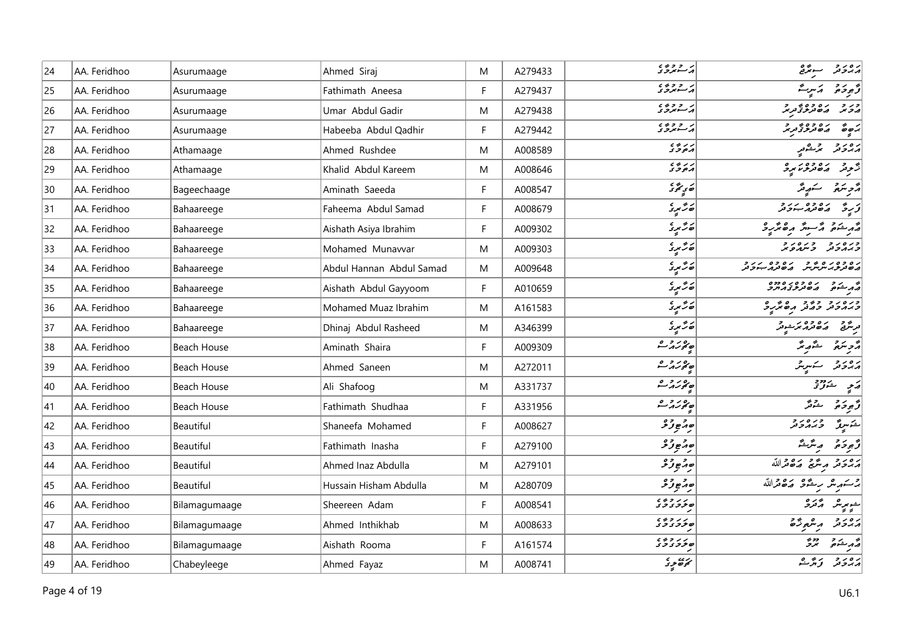| 24 | AA. Feridhoo | Asurumaage         | Ahmed Siraj              | M           | A279433 | ر و و » »<br>پرستوری                 | دی دی سوئڈھ                                                                                                                                                        |
|----|--------------|--------------------|--------------------------|-------------|---------|--------------------------------------|--------------------------------------------------------------------------------------------------------------------------------------------------------------------|
| 25 | AA. Feridhoo | Asurumaage         | Fathimath Aneesa         | F           | A279437 | ر د د و و و<br>پرستوبو د             | أوالمحافظ والمستنب                                                                                                                                                 |
| 26 | AA. Feridhoo | Asurumaage         | Umar Abdul Gadir         | M           | A279438 | ر و و » ،<br>پرستوری                 | ور و دەوەپەر د<br>مەكتىن مەھەر ئۇترىم                                                                                                                              |
| 27 | AA. Feridhoo | Asurumaage         | Habeeba Abdul Qadhir     | F.          | A279442 | ر د د وه و<br>مرسونور                | برە ئەھەر دەپرىر                                                                                                                                                   |
| 28 | AA. Feridhoo | Athamaage          | Ahmed Rushdee            | M           | A008589 | بر بر بو پر<br>پرچونو <sub>م</sub> ی | رەرو وھيد                                                                                                                                                          |
| 29 | AA. Feridhoo | Athamaage          | Khalid Abdul Kareem      | M           | A008646 | ر ر د »<br>پره <del>ر</del> د        | تحرير مەھىرورىي                                                                                                                                                    |
| 30 | AA. Feridhoo | Bageechaage        | Aminath Saeeda           | F           | A008547 | ر دي.<br>په <sub>نو</sub> گړۍ        | أزويتهم سنهيقر                                                                                                                                                     |
| 31 | AA. Feridhoo | Bahaareege         | Faheema Abdul Samad      | $\mathsf F$ | A008679 | ر و<br>نه تر مو د                    | و ده ده وه درو                                                                                                                                                     |
| 32 | AA. Feridhoo | Bahaareege         | Aishath Asiya Ibrahim    | F           | A009302 | ر پورې<br>گار سمبري                  | ە ئەھتىم ئەسىر ئەھترىر                                                                                                                                             |
| 33 | AA. Feridhoo | Bahaareege         | Mohamed Munavvar         | M           | A009303 | ر مور<br>ن گرېږي                     | כנסנכ כנסנכ<br><i>כג</i> ובע בייט <i>בי</i> צ                                                                                                                      |
| 34 | AA. Feridhoo | Bahaareege         | Abdul Hannan Abdul Samad | M           | A009648 | ر پورې<br>گار سمبري                  | קס כסק ס שיכן קודים קקיבות<br>המסינת באינות מקורים המוני היו בינו                                                                                                  |
| 35 | AA. Feridhoo | Bahaareege         | Aishath Abdul Gayyoom    | F           | A010659 | ر و<br>نه تر مو د                    | و دره ده ده ده ده ده<br>وگه شوی های مرد در در                                                                                                                      |
| 36 | AA. Feridhoo | Bahaareege         | Mohamed Muaz Ibrahim     | M           | A161583 | ر په سره<br>گار سميرۍ                | כנהגב כשב הסתנים                                                                                                                                                   |
| 37 | AA. Feridhoo | Bahaareege         | Dhinaj Abdul Rasheed     | M           | A346399 | ر پورې<br>گار سمبري                  | ورنتزج وره وه ورشيوتر                                                                                                                                              |
| 38 | AA. Feridhoo | <b>Beach House</b> | Aminath Shaira           | F           | A009309 | ھەمجە ئەشر                           | أأروبتهم تتقرير                                                                                                                                                    |
| 39 | AA. Feridhoo | <b>Beach House</b> | Ahmed Saneen             | M           | A272011 | ە ئۇ ئەرمىگە                         | دەرو سەرپىر                                                                                                                                                        |
| 40 | AA. Feridhoo | <b>Beach House</b> | Ali Shafoog              | M           | A331737 | ە <i>ئەجەنە</i> ر م                  | اړ <sub>م</sub> و شوود                                                                                                                                             |
| 41 | AA. Feridhoo | <b>Beach House</b> | Fathimath Shudhaa        | F           | A331956 | ە <i>ئەجەنە</i> ر م                  | ۇي <sub>م</sub> ۇمۇ ش <sup>و</sup> گر                                                                                                                              |
| 42 | AA. Feridhoo | Beautiful          | Shaneefa Mohamed         | F           | A008627 | وړځونه                               | و رە ر د<br>تر پروتر<br>شەسرىگە                                                                                                                                    |
| 43 | AA. Feridhoo | Beautiful          | Fathimath Inasha         | $\mathsf F$ | A279100 | ە ئەھ زى<br>ئ                        | قهودة المستبث                                                                                                                                                      |
| 44 | AA. Feridhoo | Beautiful          | Ahmed Inaz Abdulla       | M           | A279101 | ק קיפת<br>קיחוק ק                    | بره بر و شرح بره قرالله                                                                                                                                            |
| 45 | AA. Feridhoo | Beautiful          | Hussain Hisham Abdulla   | M           | A280709 | وړځونه                               | ج سكر مثل من الله                                                                                                                                                  |
| 46 | AA. Feridhoo | Bilamagumaage      | Sheereen Adam            | F           | A008541 | c <i>\$ ? } } @</i>                  | الشومر شر محرم و محرم المحرم المحرم المحرم المصر<br>المحرم المحرم المحرم المحرم المحرم المحرم المحرم المحرم المحرم المحرم المحرم المحرم المحرم المحرم المحرم المحر |
| 47 | AA. Feridhoo | Bilamagumaage      | Ahmed Inthikhab          | M           | A008633 | c <i>\$ ? } } @</i>                  | رەرو مىھوتە                                                                                                                                                        |
| 48 | AA. Feridhoo | Bilamagumaage      | Aishath Rooma            | F           | A161574 | ر د د د د و<br>مور د د د             | پ <sup>و</sup> پر شو د<br>بوديج                                                                                                                                    |
| 49 | AA. Feridhoo | Chabeyleege        | Ahmed Fayaz              | M           | A008741 | ري ء<br>کوھ <del>پ</del> ر ي         | ړه رو په کړه                                                                                                                                                       |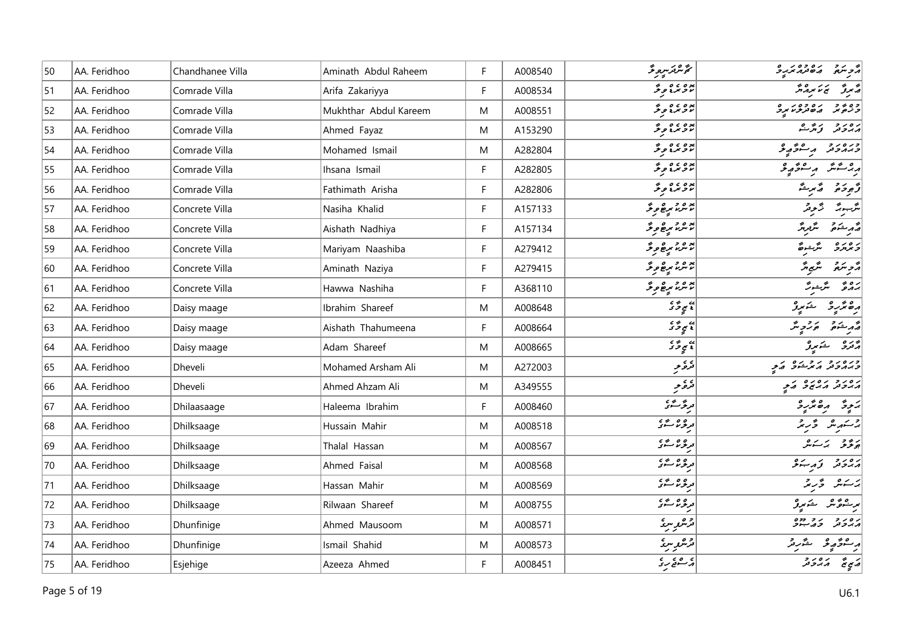| 50 | AA. Feridhoo | Chandhanee Villa | Aminath Abdul Raheem  | F. | A008540 | ى<br>ئۇنىزىئرىبرو ق                         | הכתם הסתה הגם                         |
|----|--------------|------------------|-----------------------|----|---------|---------------------------------------------|---------------------------------------|
| 51 | AA. Feridhoo | Comrade Villa    | Arifa Zakariyya       | F  | A008534 | بره ی ه و محه<br>ما <del>و</del> بر یا و مح | أيسرق بماسم يرو                       |
| 52 | AA. Feridhoo | Comrade Villa    | Mukhthar Abdul Kareem | M  | A008551 | پره ی ه<br>  پرې پره حدگه                   | כם מיכ מספסת הם<br>כמים מים מיכות מב  |
| 53 | AA. Feridhoo | Comrade Villa    | Ahmed Fayaz           | M  | A153290 | بره ، ه ه و <del>گ</del> ر                  | برەر دېگر ش                           |
| 54 | AA. Feridhoo | Comrade Villa    | Mohamed Ismail        | M  | A282804 | پره ی ه و محه                               | כנפנים תפיקים                         |
| 55 | AA. Feridhoo | Comrade Villa    | Ihsana Ismail         | F. | A282805 | پره ی ه و محر                               | مەشقىق مەشتەم ۋ                       |
| 56 | AA. Feridhoo | Comrade Villa    | Fathimath Arisha      | F  | A282806 | بره ی ه و څه<br>پرې پر د م                  | وٌمودَهُ الأمريةُ                     |
| 57 | AA. Feridhoo | Concrete Villa   | Nasiha Khalid         | F  | A157133 | يو ۾ مړيني مريحه<br>  لاسرير مړيني مريحه    | للرسور الأفرقر                        |
| 58 | AA. Feridhoo | Concrete Villa   | Aishath Nadhiya       | F  | A157134 | يو ۾ مړيني مريحه<br>  لاسرير مړيني مريحه    | پھر دیکھیے<br>حرکہ مشتر ہی<br>سرٌودگر |
| 59 | AA. Feridhoo | Concrete Villa   | Mariyam Naashiba      | F  | A279412 | يو ه د بر ه ه ه گر                          | ويوبره<br>سرَّرشەھ                    |
| 60 | AA. Feridhoo | Concrete Villa   | Aminath Naziya        | F  | A279415 | بر و د پر <u>ع</u> ومځ                      | أرمز بنرو<br>ىتىرىدۇ.                 |
| 61 | AA. Feridhoo | Concrete Villa   | Hawwa Nashiha         | F  | A368110 | يو ه د بر هو عُر                            | ر ه پ<br>بر د تو<br>سَرْشەرَ          |
| 62 | AA. Feridhoo | Daisy maage      | Ibrahim Shareef       | M  | A008648 | ں<br>٤مح پر د                               | ەر ھەترىر <i>3</i><br>ے <i>میرو</i>   |
| 63 | AA. Feridhoo | Daisy maage      | Aishath Thahumeena    | F  | A008664 | پی پی ځو ته<br>  پی پی پی ته                | و ديگرد د ديگر                        |
| 64 | AA. Feridhoo | Daisy maage      | Adam Shareef          | M  | A008665 | ں<br>٤مح څر                                 | أردره شكيرو                           |
| 65 | AA. Feridhoo | Dheveli          | Mohamed Arsham Ali    | M  | A272003 | قرة محر                                     | ورەر د درورە مكر                      |
| 66 | AA. Feridhoo | Dheveli          | Ahmed Ahzam Ali       | M  | A349555 | قرة محر                                     | ره رو ره ره کرد                       |
| 67 | AA. Feridhoo | Dhilaasaage      | Haleema Ibrahim       | F. | A008460 | ەرگەشىمى                                    | يَبِيحُ مِنْ مِنْ يَبِيحُ             |
| 68 | AA. Feridhoo | Dhilksaage       | Hussain Mahir         | M  | A008518 | مرور شيء                                    | يزخير شديد                            |
| 69 | AA. Feridhoo | Dhilksaage       | Thalal Hassan         | M  | A008567 | ا در و ۵ په <sup>ي</sup>                    | برۇۋ بەسكىل                           |
| 70 | AA. Feridhoo | Dhilksaage       | Ahmed Faisal          | M  | A008568 | ا <sub>مر</sub> وء شيء<br>پر                | أرەر دەرىكى                           |
| 71 | AA. Feridhoo | Dhilksaage       | Hassan Mahir          | M  | A008569 | د و ه د پر <sup>ي</sup>                     | يەسەس ۋرىر                            |
| 72 | AA. Feridhoo | Dhilksaage       | Rilwaan Shareef       | M  | A008755 | ەر 2 ھ <sup>2</sup> ي                       | ىرىش <i>ۇ شەپرۇ</i>                   |
| 73 | AA. Feridhoo | Dhunfinige       | Ahmed Mausoom         | M  | A008571 | قرشوبيرنج                                   | גם ג' ברי מים<br>הגבת ברי ייב         |
| 74 | AA. Feridhoo | Dhunfinige       | Ismail Shahid         | M  | A008573 | قرىثرىرىكە                                  | ر شۇرچۇ سۇرىتر                        |
| 75 | AA. Feridhoo | Esjehige         | Azeeza Ahmed          | F  | A008451 | ه صديق پرې<br>افراد شعفي پرې                | ړې پره دو                             |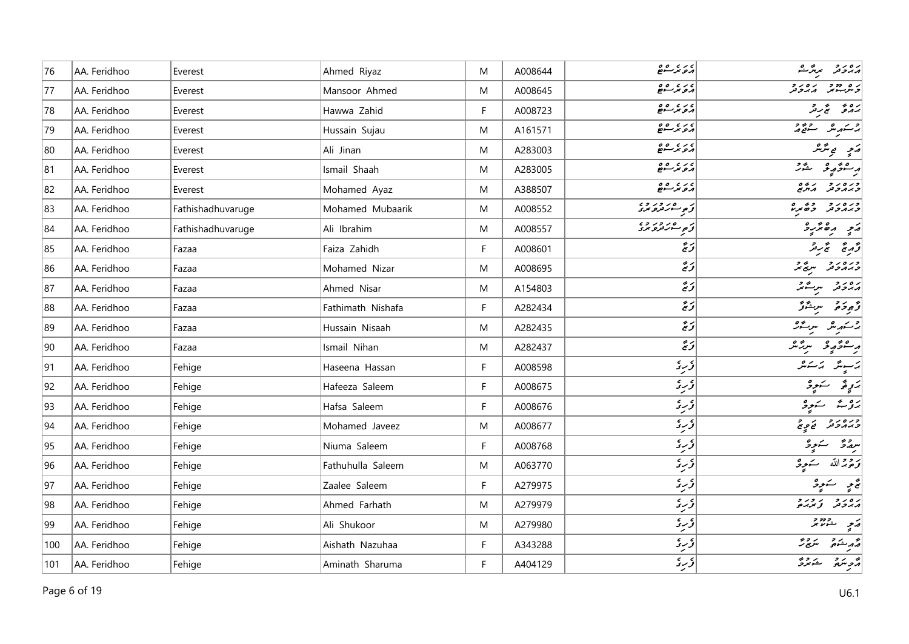| 76           | AA. Feridhoo | Everest           | Ahmed Riyaz       | M         | A008644 | پر پر صدي                                  | رەرد بورگ                                                      |
|--------------|--------------|-------------------|-------------------|-----------|---------|--------------------------------------------|----------------------------------------------------------------|
| 77           | AA. Feridhoo | Everest           | Mansoor Ahmed     | M         | A008645 | ې پر په ه ه<br>مرغ مرسو                    | ره دو د ره رو<br><mark>د ترب و بر بر</mark> در                 |
| 78           | AA. Feridhoo | Everest           | Hawwa Zahid       | F         | A008723 | ې پر په ه ه<br>مرغ مرسو                    | پروژ پچ په                                                     |
| 79           | AA. Feridhoo | Everest           | Hussain Sujau     | M         | A161571 | ء پر ۽ <u>م</u> وھ                         | جرسكور هو المحتوجة                                             |
| 80           | AA. Feridhoo | Everest           | Ali Jinan         | ${\sf M}$ | A283003 | ء پر ۽ _ە ھ                                | ړنو پرشر                                                       |
| 81           | AA. Feridhoo | Everest           | Ismail Shaah      | M         | A283005 | ء ر ۽ ره ۾<br> پريو برسو                   | بر شۇ پەر ھەر                                                  |
| 82           | AA. Feridhoo | Everest           | Mohamed Ayaz      | M         | A388507 | ې پر په ده ه<br>مرغ مرسو                   | כנסנכ נבס                                                      |
| 83           | AA. Feridhoo | Fathishadhuvaruge | Mohamed Mubaarik  | M         | A008552 | ر مار ور و د<br><mark>ز</mark> مار مرد برد | כנסנכ כשינים                                                   |
| 84           | AA. Feridhoo | Fathishadhuvaruge | Ali Ibrahim       | ${\sf M}$ | A008557 | أؤه بشمر وروء                              |                                                                |
| 85           | AA. Feridhoo | Fazaa             | Faiza Zahidh      | F         | A008601 | تريخ                                       | وَمِيعَ يَحْرِمْهِ                                             |
| 86           | AA. Feridhoo | Fazaa             | Mohamed Nizar     | M         | A008695 | ترتج                                       | و ر ه ر د<br>تر پر ژنر<br>سرچ پر                               |
| 87           | AA. Feridhoo | Fazaa             | Ahmed Nisar       | M         | A154803 | ترتج                                       | رەرو سرگىمى                                                    |
| 88           | AA. Feridhoo | Fazaa             | Fathimath Nishafa | F         | A282434 | وَنَجّ                                     | أرٌمودَة الراسُورٌ                                             |
| 89           | AA. Feridhoo | Fazaa             | Hussain Nisaah    | ${\sf M}$ | A282435 | أقرنج                                      | چرىكىرىكى ئىرگىچى                                              |
| $ 90\rangle$ | AA. Feridhoo | Fazaa             | Ismail Nihan      | M         | A282437 | ترتج                                       | برحۇپە بېرتىر                                                  |
| 91           | AA. Feridhoo | Fehige            | Haseena Hassan    | F         | A008598 | ې<br>توريخ                                 | <i>يُسِيسُ يُسَتَ</i> سُ                                       |
| 92           | AA. Feridhoo | Fehige            | Hafeeza Saleem    | F         | A008675 | ې<br>توريخ                                 | رَدٍ لَا سَوِدٌ                                                |
| 93           | AA. Feridhoo | Fehige            | Hafsa Saleem      | F         | A008676 | ې<br>ورځ                                   | بروية سنورة                                                    |
| 94           | AA. Feridhoo | Fehige            | Mohamed Javeez    | M         | A008677 | ې<br>توري                                  | ورەر دىم كې                                                    |
| 95           | AA. Feridhoo | Fehige            | Niuma Saleem      | F         | A008768 | ې د په<br>د                                | سرو محمود                                                      |
| 96           | AA. Feridhoo | Fehige            | Fathuhulla Saleem | ${\sf M}$ | A063770 | ورء                                        | ترة جه الله سنوچ                                               |
| 97           | AA. Feridhoo | Fehige            | Zaalee Saleem     | F         | A279975 | ې<br>توريخ                                 | $\begin{array}{cc} \circ & \circ \\ \circ & \circ \end{array}$ |
| 98           | AA. Feridhoo | Fehige            | Ahmed Farhath     | ${\sf M}$ | A279979 | ې<br>توري                                  | ره رو درود                                                     |
| 99           | AA. Feridhoo | Fehige            | Ali Shukoor       | ${\sf M}$ | A279980 | ې<br>ورځ                                   | $rac{272}{x^{11}+x^{2}}$                                       |
| 100          | AA. Feridhoo | Fehige            | Aishath Nazuhaa   | F         | A343288 | كورج                                       | ۇرمىشقى سىنىڭ                                                  |
| 101          | AA. Feridhoo | Fehige            | Aminath Sharuma   | F         | A404129 | ې<br>توري                                  | أأوسكة المشاورة                                                |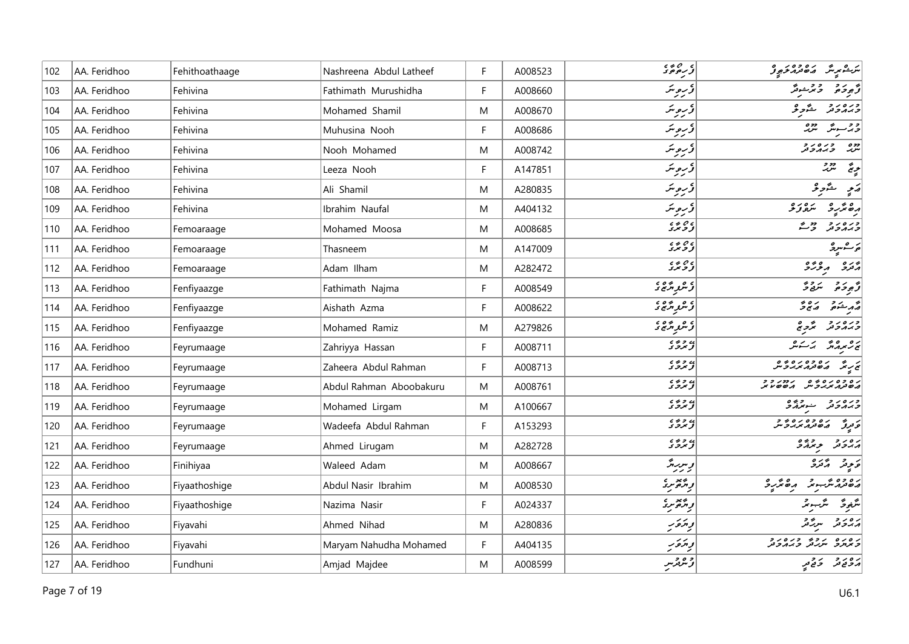| 102 | AA. Feridhoo | Fehithoathaage | Nashreena Abdul Latheef | F         | A008523 | ې ده ده د<br>تر په ده د                 | برشم بره ده ده د و د و                     |
|-----|--------------|----------------|-------------------------|-----------|---------|-----------------------------------------|--------------------------------------------|
| 103 | AA. Feridhoo | Fehivina       | Fathimath Murushidha    | F         | A008660 | ۇر <sub>چە مى</sub> ر                   | و ده دور شونگر                             |
| 104 | AA. Feridhoo | Fehivina       | Mohamed Shamil          | M         | A008670 | ۇر <sub>چە مى</sub> ر                   | ورەرو ئۇرۇ                                 |
| 105 | AA. Feridhoo | Fehivina       | Muhusina Nooh           | F         | A008686 | ۇرەبىر                                  | 32 شەمىر يورت                              |
| 106 | AA. Feridhoo | Fehivina       | Nooh Mohamed            | M         | A008742 | ۇروپر                                   | מם כנסנב<br>ייטל כנמכת                     |
| 107 | AA. Feridhoo | Fehivina       | Leeza Nooh              | F         | A147851 | ۇر <sub>چە مى</sub> ر                   | موسطح منزلز<br>وسطح                        |
| 108 | AA. Feridhoo | Fehivina       | Ali Shamil              | M         | A280835 | ۇ <sub>سرحە</sub> مىز                   | أرشم المشترو                               |
| 109 | AA. Feridhoo | Fehivina       | Ibrahim Naufal          | ${\sf M}$ | A404132 | ۇرەبىر                                  | سرە ئەي<br>ەرھەتمەر 2<br>ب                 |
| 110 | AA. Feridhoo | Femoaraage     | Mohamed Moosa           | M         | A008685 | ی <i>0 و ی</i><br>تو <del>و</del> بو ی  | و رە ر د<br><i>د بە</i> پەر<br>دريمه       |
| 111 | AA. Feridhoo | Femoaraage     | Thasneem                | M         | A147009 | ه ۵ و ه<br>و <del>و</del> بو د          | ۇسۇ يېرو                                   |
| 112 | AA. Feridhoo | Femoaraage     | Adam Ilham              | M         | A282472 | ړ بر پر پر<br>تونو مرد                  | وره دورو                                   |
| 113 | AA. Feridhoo | Fenfiyaazge    | Fathimath Najma         | F         | A008549 | ئۇ شرىر شەھ ئ                           | وٌمِ وَمَعْ مَسْتَمَعَ وَ                  |
| 114 | AA. Feridhoo | Fenfiyaazge    | Aishath Azma            | F         | A008622 | ئۇ شرىر شەھ ئ                           | وكرشكو ويح                                 |
| 115 | AA. Feridhoo | Fenfiyaazge    | Mohamed Ramiz           | M         | A279826 | ې شر <sub>و</sub> رتو دی<br>نرمو تر پنې | و ر ه ر د<br>تر پر ژ تر<br>برٌ پر ہ        |
| 116 | AA. Feridhoo | Feyrumaage     | Zahriyya Hassan         | F         | A008711 | در و در د<br>تو بورس                    | ىرە مەر ئەسەس                              |
| 117 | AA. Feridhoo | Feyrumaage     | Zaheera Abdul Rahman    | F.        | A008713 | ، د و و د<br>تو مرتز د                  | ر په ده ده ده ده و                         |
| 118 | AA. Feridhoo | Feyrumaage     | Abdul Rahman Aboobakuru | M         | A008761 | ړ، و د  ،<br>تو مرد د                   | נסכם נסכים נחניכב<br>גישנג גיבית גישים     |
| 119 | AA. Feridhoo | Feyrumaage     | Mohamed Lirgam          | M         | A100667 | در و در د<br>تو بورس ی                  | وره رو سوره و ده<br><i>و پر پروتر</i>      |
| 120 | AA. Feridhoo | Feyrumaage     | Wadeefa Abdul Rahman    | F         | A153293 | در و در د<br>تو بورس                    | ره وه ره د و<br>پره تربر تر تر<br>  تەتوپۇ |
| 121 | AA. Feridhoo | Feyrumaage     | Ahmed Lirugam           | M         | A282728 | ړ، و د  ،<br>تو مرد د                   | ره رو وجه ه<br>پرسرتر وبرټرو               |
| 122 | AA. Feridhoo | Finihiyaa      | Waleed Adam             | M         | A008667 | او میں ہڈ<br>گیسے                       | كروير الممرو                               |
| 123 | AA. Feridhoo | Fiyaathoshige  | Abdul Nasir Ibrahim     | M         | A008530 | و پر پر ہ<br>پر مربو سربر               | גם כם מ- גם הפימים                         |
| 124 | AA. Feridhoo | Fiyaathoshige  | Nazima Nasir            | F.        | A024337 | و پژ <sub>یخ مر</sub> ی<br>تر پژهو مرد  | لتركور مترجور                              |
| 125 | AA. Feridhoo | Fiyavahi       | Ahmed Nihad             | M         | A280836 | ويرةر                                   | پره پر سرگاند                              |
| 126 | AA. Feridhoo | Fiyavahi       | Maryam Nahudha Mohamed  | F         | A404135 | ويرؤر                                   | נים בין הכל כנים בדי<br>המחבר ייתנית במחבת |
| 127 | AA. Feridhoo | Fundhuni       | Amjad Majdee            | M         | A008599 | ۇمۇقرىبر                                | دەر بەر ئەقر                               |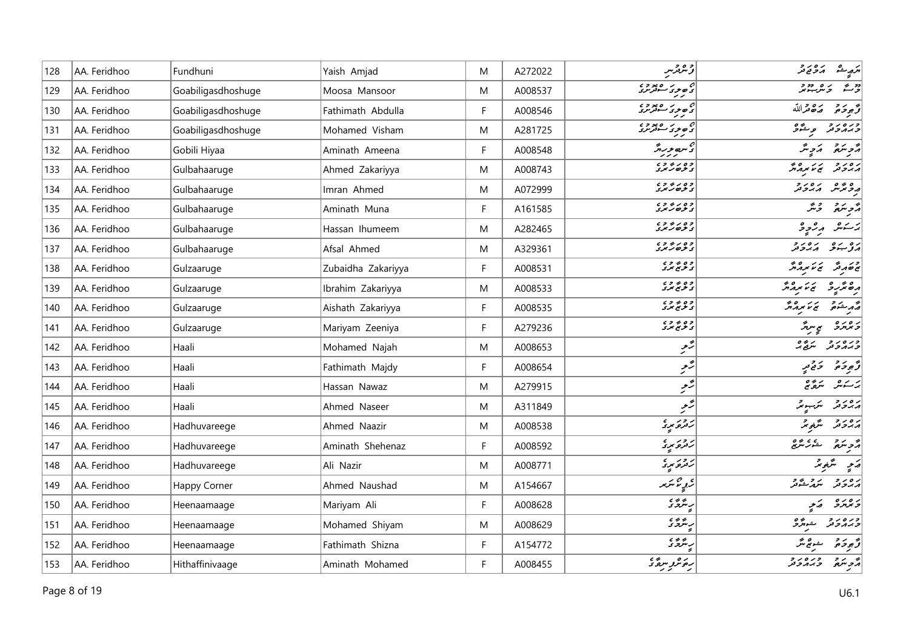| 128 | AA. Feridhoo | Fundhuni           | Yaish Amjad        | M           | A272022 | ئ <i>ۇنترىبى</i> ر                                         | پر 2 ر حر<br>مرکز تعر<br> ترمړیشه                     |
|-----|--------------|--------------------|--------------------|-------------|---------|------------------------------------------------------------|-------------------------------------------------------|
| 129 | AA. Feridhoo | Goabiligasdhoshuge | Moosa Mansoor      | M           | A008537 | ہے<br>کی ن <i>ے مو</i> کی سس <sup>و</sup> تو <i>ہو ہ</i> ی | ووقع المحامل وواد                                     |
| 130 | AA. Feridhoo | Goabiligasdhoshuge | Fathimath Abdulla  | F           | A008546 | ج د بر د و پر د و د<br>د حومود مستور درد                   | ەھەراللە<br>وٌ جو حر حر                               |
| 131 | AA. Feridhoo | Goabiligasdhoshuge | Mohamed Visham     | M           | A281725 | ج در در در در<br>د ه مود کستورس                            | و ر ه ر و<br>د بر بر تر<br>ح مشترو                    |
| 132 | AA. Feridhoo | Gobili Hiyaa       | Aminath Ameena     | $\mathsf F$ | A008548 | م<br>د سهور پژ                                             | ړې سره د کړين                                         |
| 133 | AA. Feridhoo | Gulbahaaruge       | Ahmed Zakariyya    | M           | A008743 | وه ریو و ،<br>د نوه رنگری                                  | גפני היא בי                                           |
| 134 | AA. Feridhoo | Gulbahaaruge       | Imran Ahmed        | M           | A072999 | و ه ر پر و ،<br>د <del>ن</del> ون تر بو ،                  | ם כי מיטור בית המודע.<br>הכיתיית המכית                |
| 135 | AA. Feridhoo | Gulbahaaruge       | Aminath Muna       | F           | A161585 | و ه ر پر و ،<br>د <del>ن</del> ون تر بو ،                  | ړې په د چمک                                           |
| 136 | AA. Feridhoo | Gulbahaaruge       | Hassan Ihumeem     | M           | A282465 | و ه ر بر و ،<br>د نون تر برد                               | برسكش مركزة                                           |
| 137 | AA. Feridhoo | Gulbahaaruge       | Afsal Ahmed        | M           | A329361 | و ه ر بر و ،<br>د نون تر برد                               | ره رو درود<br>مروسکو ممکن                             |
| 138 | AA. Feridhoo | Gulzaaruge         | Zubaidha Zakariyya | F           | A008531 | و ه پر و ،<br>د نومځ مرد                                   | בסתת ביתהת                                            |
| 139 | AA. Feridhoo | Gulzaaruge         | Ibrahim Zakariyya  | M           | A008533 | و ه پر و ء<br>ۍ څريځ بوړ                                   | גە ئەر ئەسىم ئەر                                      |
| 140 | AA. Feridhoo | Gulzaaruge         | Aishath Zakariyya  | F           | A008535 | ا و ه پر و ء<br>ا د نومځ مرد                               | התלים ביצוע                                           |
| 141 | AA. Feridhoo | Gulzaaruge         | Mariyam Zeeniya    | $\mathsf F$ | A279236 | و ه پر و ء<br>ۍ څريخ بوري                                  | دەرە پېرىگە                                           |
| 142 | AA. Feridhoo | Haali              | Mohamed Najah      | M           | A008653 | رٌمو                                                       | و ره ر و<br><i>و پر</i> پر <del>و</del> تر<br>ىر ئە 2 |
| 143 | AA. Feridhoo | Haali              | Fathimath Majdy    | F           | A008654 | رٌمزِ                                                      | توجوحه وفيعر                                          |
| 144 | AA. Feridhoo | Haali              | Hassan Nawaz       | M           | A279915 | رحمير                                                      | برسەش ئىرمى                                           |
| 145 | AA. Feridhoo | Haali              | Ahmed Naseer       | M           | A311849 | رٌمزِ                                                      | رەرد سكب پر                                           |
| 146 | AA. Feridhoo | Hadhuvareege       | Ahmed Naazir       | M           | A008538 | رور<br>  رور <sub>نو</sub> ر                               | متَزْمُو مَرْ<br>ر ه ر د<br>م.رو تر                   |
| 147 | AA. Feridhoo | Hadhuvareege       | Aminath Shehenaz   | F           | A008592 | ژوپر پر <sup>ج</sup>                                       | ے <sub>م</sub> حر شرچ<br>و محمد منه<br>م              |
| 148 | AA. Feridhoo | Hadhuvareege       | Ali Nazir          | M           | A008771 | ئەقرەر ئىيرى                                               | أەسم متمر                                             |
| 149 | AA. Feridhoo | Happy Corner       | Ahmed Naushad      | M           | A154667 | اروپەتىد                                                   | پره پر و<br>ىئە ئەشقىر                                |
| 150 | AA. Feridhoo | Heenaamaage        | Mariyam Ali        | E           | A008628 | ر پڙھ ي<br>پي                                              | د ۱۵ د مړ                                             |
| 151 | AA. Feridhoo | Heenaamaage        | Mohamed Shiyam     | M           | A008629 | ر پژو <sup>ي</sup>                                         | شەدگرى<br>و ر ه ر د<br>تر بر تر تر                    |
| 152 | AA. Feridhoo | Heenaamaage        | Fathimath Shizna   | F.          | A154772 | ر پژوي<br>په مرد د                                         | شوچ مگر<br>پ<br>و مر د<br>تر مور می                   |
| 153 | AA. Feridhoo | Hithaffinivaage    | Aminath Mohamed    | F           | A008455 | رۇشۇر بىرقە ئە                                             | و دره دره در                                          |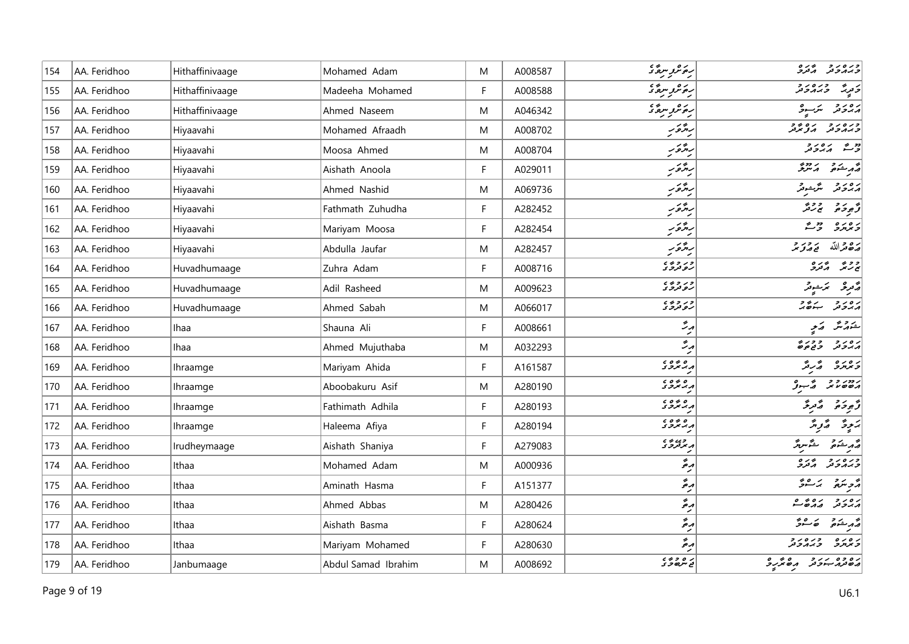| 154 | AA. Feridhoo | Hithaffinivaage | Mohamed Adam        | M  | A008587 | ىرە ئىرو بىرە ئى        | כנסנכ שנם<br>כ <i>ג</i> ונכנג ונינכ                    |
|-----|--------------|-----------------|---------------------|----|---------|-------------------------|--------------------------------------------------------|
| 155 | AA. Feridhoo | Hithaffinivaage | Madeeha Mohamed     | F  | A008588 | رىر ئىرو بىرىدى         | و رە ر د<br><i>د بر</i> گرىز<br>  ئەمەرچە              |
| 156 | AA. Feridhoo | Hithaffinivaage | Ahmed Naseem        | M  | A046342 | رىر ئىر بىر بۇ ئ        | ره رو مردو<br>مدون مردو                                |
| 157 | AA. Feridhoo | Hiyaavahi       | Mohamed Afraadh     | Μ  | A008702 | ىرەتزەكرىر              | ورەرو رەپرو<br><i>دىد</i> رونر پرتونر                  |
| 158 | AA. Feridhoo | Hiyaavahi       | Moosa Ahmed         | M  | A008704 | رېژوَر                  | اتز شه برور د                                          |
| 159 | AA. Feridhoo | Hiyaavahi       | Aishath Anoola      | F  | A029011 | ىرەژچە بە               | أصمر مشتور المرادون                                    |
| 160 | AA. Feridhoo | Hiyaavahi       | Ahmed Nashid        | M  | A069736 | رېژوَر                  | أرەر ئە ئەشبەتر                                        |
| 161 | AA. Feridhoo | Hiyaavahi       | Fathmath Zuhudha    | F. | A282452 | رېژوَر                  | قەدىقى ئەر                                             |
| 162 | AA. Feridhoo | Hiyaavahi       | Mariyam Moosa       | F. | A282454 | رېژوَر                  | د ۱۵ ده د می                                           |
| 163 | AA. Feridhoo | Hiyaavahi       | Abdulla Jaufar      | M  | A282457 | رېژوَرِ                 | بره قرالله به ور و                                     |
| 164 | AA. Feridhoo | Huvadhumaage    | Zuhra Adam          | F. | A008716 | و ر و د » ،<br>ره ترو د | و و به په مره<br>بح <sup>ر</sup> برگترن                |
| 165 | AA. Feridhoo | Huvadhumaage    | Adil Rasheed        | M  | A009623 | و ر و د  ،<br>ره نرو د  | ە ئىرقى ئىم ئىسونى                                     |
| 166 | AA. Feridhoo | Huvadhumaage    | Ahmed Sabah         | M  | A066017 | و ر و د »<br>رو درو د   | ره رو برود                                             |
| 167 | AA. Feridhoo | <b>Ihaa</b>     | Shauna Ali          | F  | A008661 | برمج                    | شەرجىق كەمچ                                            |
| 168 | AA. Feridhoo | Ihaa            | Ahmed Mujuthaba     | M  | A032293 | پرمح                    | נ סניכ - כניל<br>ג'ג'כנג - כניסים                      |
| 169 | AA. Feridhoo | Ihraamge        | Mariyam Ahida       | F. | A161587 | ە بە بە ە »<br>مەندىرى  | و دره و د                                              |
| 170 | AA. Feridhoo | Ihraamge        | Aboobakuru Asif     | M  | A280190 | وچېږي                   | $3 - 2 - 2 - 2$                                        |
| 171 | AA. Feridhoo | Ihraamge        | Fathimath Adhila    | F  | A280193 | ه ۶ و ه ه<br>د بر برو د | وَجِعِدَهُ صَّدِيَّ                                    |
| 172 | AA. Feridhoo | Ihraamge        | Haleema Afiya       | F. | A280194 | ه ۶ و ه ه<br>د بر برو د | يَجِعُ الْمُوالِّذِ                                    |
| 173 | AA. Feridhoo | Irudheymaage    | Aishath Shaniya     | F  | A279083 | <br>  مرمزدی            | وكرشكو شرسر                                            |
| 174 | AA. Feridhoo | Ithaa           | Mohamed Adam        | M  | A000936 | ديځ                     | ورەر د درە<br><i>دى</i> رمەن مەن                       |
| 175 | AA. Feridhoo | Ithaa           | Aminath Hasma       | F  | A151377 | پرځ<br>مرخ              | أأروبتهم برجع                                          |
| 176 | AA. Feridhoo | Ithaa           | Ahmed Abbas         | Μ  | A280426 | پرځ<br>مرخ              | رەرد رەپمى                                             |
| 177 | AA. Feridhoo | Ithaa           | Aishath Basma       | F  | A280624 | ديځ                     | أمار منوه كالمسترد                                     |
| 178 | AA. Feridhoo | Ithaa           | Mariyam Mohamed     | F. | A280630 | ويحج                    | ر ه ر ه<br><del>د</del> بربرگ<br>و ره ر و<br>تر پر ژنر |
| 179 | AA. Feridhoo | Janbumaage      | Abdul Samad Ibrahim | M  | A008692 | ر ه د د »<br>د سره ژ د  | נס כם נגב בסתנים                                       |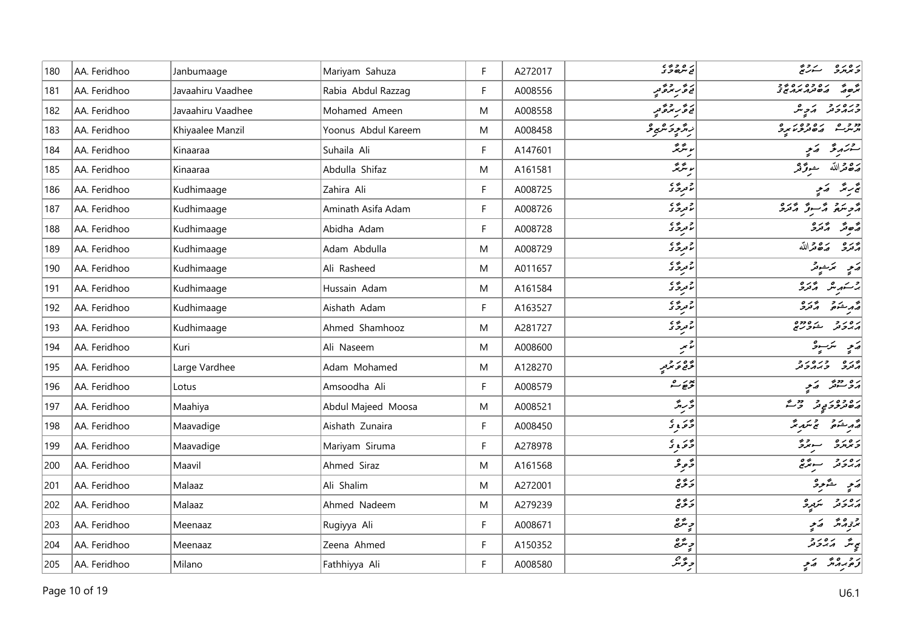| 180 | AA. Feridhoo | Janbumaage        | Mariyam Sahuza      | F           | A272017 | ر ه و و » ،<br>نح سرح و د | سەرىج<br>  ئەمەر ە                                                                                                                                                                                                                  |
|-----|--------------|-------------------|---------------------|-------------|---------|---------------------------|-------------------------------------------------------------------------------------------------------------------------------------------------------------------------------------------------------------------------------------|
| 181 | AA. Feridhoo | Javaahiru Vaadhee | Rabia Abdul Razzag  | F.          | A008556 | <br>  ئى قرىر بىر قرىمىيە | 22010201 202                                                                                                                                                                                                                        |
| 182 | AA. Feridhoo | Javaahiru Vaadhee | Mohamed Ameen       | M           | A008558 | ئەقرىر ترقەمر             | ورەرو كەچە                                                                                                                                                                                                                          |
| 183 | AA. Feridhoo | Khiyaalee Manzil  | Yoonus Abdul Kareem | M           | A008458 | زېژېږد شيږ                | ره وه ره<br>پره ترور برو<br>ادو و ه<br>مرسر پ                                                                                                                                                                                       |
| 184 | AA. Feridhoo | Kinaaraa          | Suhaila Ali         | F.          | A147601 | بريثه                     | حمق المحمد المحمد المحمد المحمد المحمد المحمد المحمد المحمد المحمد المحمد المحمد المحمد المحمد المحمد<br>المحمد المحمد المحمد المحمد المحمد المحمد المحمد المحمد المحمد المحمد المحمد المحمد المحمد المحمد المحمد المحم<br>المحمد ا |
| 185 | AA. Feridhoo | Kinaaraa          | Abdulla Shifaz      | M           | A161581 | ببرينجه                   |                                                                                                                                                                                                                                     |
| 186 | AA. Feridhoo | Kudhimaage        | Zahira Ali          | F           | A008725 | و د گري<br>مورگر          |                                                                                                                                                                                                                                     |
| 187 | AA. Feridhoo | Kudhimaage        | Aminath Asifa Adam  | F           | A008726 | د ورځ<br>مورځ د           | ו גבו ה- היה היה<br>הקיימה ה- היה היה                                                                                                                                                                                               |
| 188 | AA. Feridhoo | Kudhimaage        | Abidha Adam         | F           | A008728 | و د پرې<br>ما مورگ        | ג'ופיה גינים                                                                                                                                                                                                                        |
| 189 | AA. Feridhoo | Kudhimaage        | Adam Abdulla        | M           | A008729 | د و و ء<br>ما فرقری       | أرتره ركاة الله                                                                                                                                                                                                                     |
| 190 | AA. Feridhoo | Kudhimaage        | Ali Rasheed         | M           | A011657 | ا توریخ می<br>ما مورد می  | أركمني المركب وتر                                                                                                                                                                                                                   |
| 191 | AA. Feridhoo | Kudhimaage        | Hussain Adam        | M           | A161584 | و ديري<br>مورد د          | جر شهر شهر محمده<br>بر شهر شهر محمده                                                                                                                                                                                                |
| 192 | AA. Feridhoo | Kudhimaage        | Aishath Adam        | $\mathsf F$ | A163527 | د وره و<br>ما تورد د      | $\begin{array}{cc} \bullet & \bullet & \bullet & \bullet \\ \bullet & \bullet & \bullet & \bullet \\ \bullet & \bullet & \bullet & \bullet \\ \bullet & \bullet & \bullet & \bullet \end{array}$                                    |
| 193 | AA. Feridhoo | Kudhimaage        | Ahmed Shamhooz      | M           | A281727 | و<br>ما فرقری<br>م        | ره رو در ۱۵۶۵<br>م.رونر شور رح                                                                                                                                                                                                      |
| 194 | AA. Feridhoo | Kuri              | Ali Naseem          | M           | A008600 | لتمبر                     | أەيم سىرسوق                                                                                                                                                                                                                         |
| 195 | AA. Feridhoo | Large Vardhee     | Adam Mohamed        | M           | A128270 | تَوْح حَرْمَدٍ            | پەرە<br>مەنىرى<br>و ره ر د<br><i>د ب</i> رگرفر                                                                                                                                                                                      |
| 196 | AA. Feridhoo | Lotus             | Amsoodha Ali        | F           | A008579 | پر پ <sub>ر</sub> ص       | ده دوه په کړم                                                                                                                                                                                                                       |
| 197 | AA. Feridhoo | Maahiya           | Abdul Majeed Moosa  | M           | A008521 | قرسر پر                   | ره وه رحمد حرم<br>هام ترود محمد حرم                                                                                                                                                                                                 |
| 198 | AA. Feridhoo | Maavadige         | Aishath Zunaira     | F           | A008450 | ور دي.<br>حرم دي.         | قدمنو فيتدع                                                                                                                                                                                                                         |
| 199 | AA. Feridhoo | Maavadige         | Mariyam Siruma      | F.          | A278978 | ور ،<br>د ه د د           | נים נים ניידי ביידי ביידי ביידי ביידי ביידי ביידי ביידי ביידי ביידי ביידי ביידי ביידי ביידי ביידי ביידי ביידי<br>תודשות המוד                                                                                                        |
| 200 | AA. Feridhoo | Maavil            | Ahmed Siraz         | M           | A161568 | ۇرۇ                       | ړه د ته سومرچ                                                                                                                                                                                                                       |
| 201 | AA. Feridhoo | Malaaz            | Ali Shalim          | M           | A272001 | ىر بۇ ە                   | ړې ځود                                                                                                                                                                                                                              |
| 202 | AA. Feridhoo | Malaaz            | Ahmed Nadeem        | M           | A279239 | ر پر ہ<br>تر تر م         | پروتر پرتورو                                                                                                                                                                                                                        |
| 203 | AA. Feridhoo | Meenaaz           | Rugiyya Ali         | $\mathsf F$ | A008671 | جريثي                     | $\begin{array}{cc} \hline \begin{array}{cc} \mathcal{L} & \mathcal{L} & \mathcal{L} \\ \mathcal{L} & \mathcal{L} & \mathcal{L} \\ \mathcal{L} & \mathcal{L} & \mathcal{L} \end{array} \end{array}$                                  |
| 204 | AA. Feridhoo | Meenaaz           | Zeena Ahmed         | F.          | A150352 | جريثي                     | ى ئىگە ئە <i>مەدە</i> ر                                                                                                                                                                                                             |
| 205 | AA. Feridhoo | Milano            | Fathhiyya Ali       | F           | A008580 | جرځشر                     | و و وه د و                                                                                                                                                                                                                          |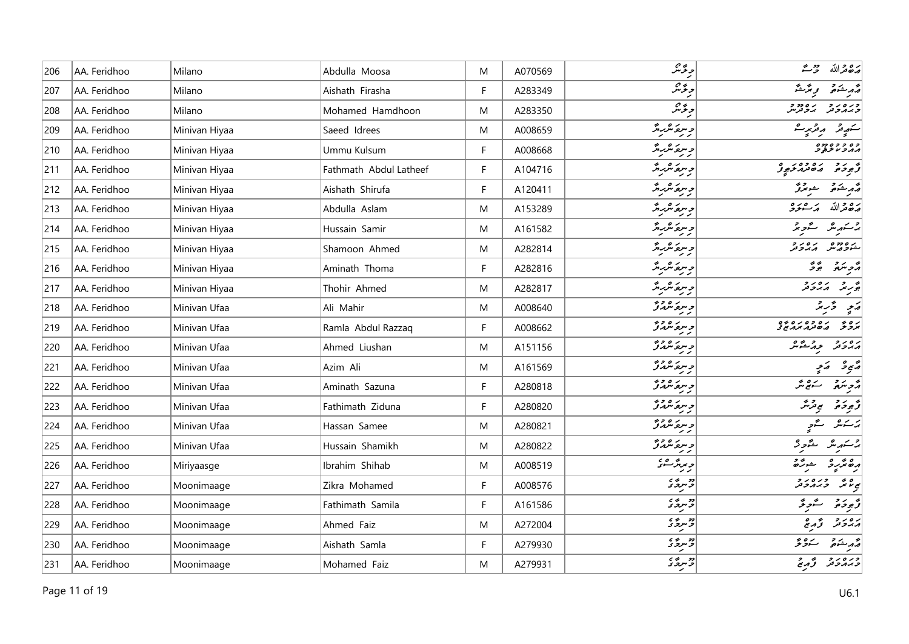| 206 | AA. Feridhoo | Milano        | Abdulla Moosa          | M  | A070569 | جە ئەنگە                             | مَدْهُ مِّرْ اللَّهُ حَرْثَةُ                  |
|-----|--------------|---------------|------------------------|----|---------|--------------------------------------|------------------------------------------------|
| 207 | AA. Feridhoo | Milano        | Aishath Firasha        | F. | A283349 | جە ئىگە                              | و گهر شک <sup>و</sup><br>و بُرْشٌہ             |
| 208 | AA. Feridhoo | Milano        | Mohamed Hamdhoon       | M  | A283350 | جە ئەنگە                             | ورەر دەردە<br><i>جەم</i> ەر <i>بەدىر</i> س     |
| 209 | AA. Feridhoo | Minivan Hiyaa | Saeed Idrees           | M  | A008659 | اح سره شربه<br><u>مس</u> م           | سکھی قر مرتز ہونے                              |
| 210 | AA. Feridhoo | Minivan Hiyaa | Ummu Kulsum            | F  | A008668 | ا په سره شریر<br><u>کر سره</u> شریر  | c o c c o cc<br>11. C 4 G G C                  |
| 211 | AA. Feridhoo | Minivan Hiyaa | Fathmath Abdul Latheef | F  | A104716 | وسره تربه                            |                                                |
| 212 | AA. Feridhoo | Minivan Hiyaa | Aishath Shirufa        | F  | A120411 | احەسى مەرىبەر<br>كەنبە               | وكرمشكم المستركر                               |
| 213 | AA. Feridhoo | Minivan Hiyaa | Abdulla Aslam          | M  | A153289 | جە سەھە تىرىدىگە                     | برە تراللە<br>برعبره                           |
| 214 | AA. Feridhoo | Minivan Hiyaa | Hussain Samir          | M  | A161582 | احەسە ئەشرىدىگە<br>كەنبە             | برسكهاش الشرجر                                 |
| 215 | AA. Feridhoo | Minivan Hiyaa | Shamoon Ahmed          | M  | A282814 | ە سەھ ئىرىدىگە<br>سىرىيە             | ر دوده ره رو<br>شوره سر مدرس                   |
| 216 | AA. Feridhoo | Minivan Hiyaa | Aminath Thoma          | F. | A282816 | احە سەھ شرىرىدىگە<br>كەنبە           | جونح<br>وتحريثهم                               |
| 217 | AA. Feridhoo | Minivan Hiyaa | Thohir Ahmed           | M  | A282817 | ا په سره شریر<br><u>مس</u> م شریر مر | 2101 212                                       |
| 218 | AA. Feridhoo | Minivan Ufaa  | Ali Mahir              | M  | A008640 | ار سره شدد و                         | $\frac{2}{3}$ $\frac{2}{3}$ $\frac{2}{3}$      |
| 219 | AA. Feridhoo | Minivan Ufaa  | Ramla Abdul Razzaq     | F  | A008662 | <i>د</i> سره شرړ ژ                   | נס מסינסמים                                    |
| 220 | AA. Feridhoo | Minivan Ufaa  | Ahmed Liushan          | M  | A151156 | أوسفة مثلاثر                         | رەرد دەشگە                                     |
| 221 | AA. Feridhoo | Minivan Ufaa  | Azim Ali               | M  | A161569 | ار سرهٔ شرد ژ                        | ړې د کړ                                        |
| 222 | AA. Feridhoo | Minivan Ufaa  | Aminath Sazuna         | F  | A280818 | ى <sub>ر س</sub> ىر ئەرگە ئە         | أأرمز<br>ئەي تىگە                              |
| 223 | AA. Feridhoo | Minivan Ufaa  | Fathimath Ziduna       | F. | A280820 | <i>د</i> سرهٔ شرړ ژ                  | ۇ بوخ <sup>م</sup> ۇ<br>ىجوتىرىتىر             |
| 224 | AA. Feridhoo | Minivan Ufaa  | Hassan Samee           | M  | A280821 | ا د سره شدد و                        | بزسەيىتى<br>رقيح                               |
| 225 | AA. Feridhoo | Minivan Ufaa  | Hussain Shamikh        | M  | A280822 | ار سره شدد محمد د                    | ستگروگر<br>جەسە يەر<br>بە                      |
| 226 | AA. Feridhoo | Miriyaasge    | Ibrahim Shihab         | M  | A008519 | ى <i>ر بىر بىر مى</i><br>ئىرىر       | ە ھەترىرى<br>برھ ترىرى<br>شورگره<br>مر         |
| 227 | AA. Feridhoo | Moonimaage    | Zikra Mohamed          | F  | A008576 | יי<br>קייקבצ                         | ې تر مخه<br>سي<br>و ره ر د<br><i>د ب</i> رگرفر |
| 228 | AA. Feridhoo | Moonimaage    | Fathimath Samila       | F  | A161586 | دو<br>ترسرچۍ                         | أزَّوِدَةَ سُدْرِدً                            |
| 229 | AA. Feridhoo | Moonimaage    | Ahmed Faiz             | M  | A272004 | יי<br>קייקבצ                         | پر ور و<br>تۇم تى                              |
| 230 | AA. Feridhoo | Moonimaage    | Aishath Samla          | F. | A279930 | ود سرچری                             | سەۋىۋ<br>ړ برخو ځ                              |
| 231 | AA. Feridhoo | Moonimaage    | Mohamed Faiz           | M  | A279931 | وو پر دی<br>تر سرچ <sub>ر</sub> ی    | ورەرو ۋە                                       |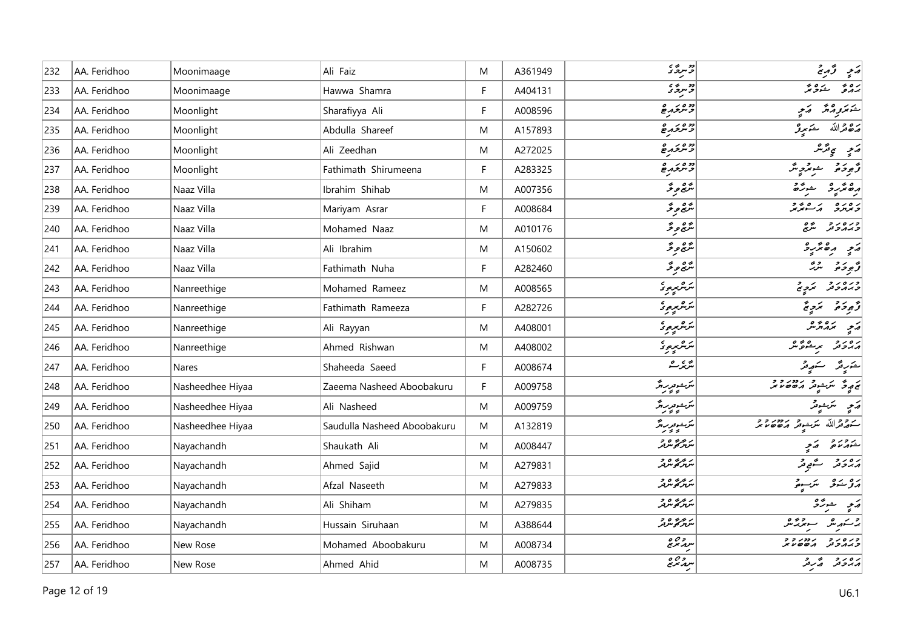| 232 | AA. Feridhoo | Moonimaage       | Ali Faiz                    | M           | A361949 | دو په په<br>تر سرچنۍ                        | $\begin{array}{cc} \mathcal{E}_{\mathcal{A}}, \mathcal{E}_{\mathcal{B}} & \mathcal{E}_{\mathcal{A}} \\ \mathcal{E}_{\mathcal{A}}, \mathcal{E}_{\mathcal{B}} & \mathcal{E}_{\mathcal{B}} \end{array}$ |
|-----|--------------|------------------|-----------------------------|-------------|---------|---------------------------------------------|------------------------------------------------------------------------------------------------------------------------------------------------------------------------------------------------------|
| 233 | AA. Feridhoo | Moonimaage       | Hawwa Shamra                | $\mathsf F$ | A404131 | ادو په په<br> د سرچنۍ                       | برەپچ<br>شەۋىتى                                                                                                                                                                                      |
| 234 | AA. Feridhoo | Moonlight        | Sharafiyya Ali              | F           | A008596 | وممرغرة                                     | ے <i>پرو</i> ر مر<br>رځمني                                                                                                                                                                           |
| 235 | AA. Feridhoo | Moonlight        | Abdulla Shareef             | M           | A157893 | وده پر ه                                    | بر2 قرالله<br>شەمبەر                                                                                                                                                                                 |
| 236 | AA. Feridhoo | Moonlight        | Ali Zeedhan                 | M           | A272025 | وده پر ه                                    | ر<br>په سي پوشر                                                                                                                                                                                      |
| 237 | AA. Feridhoo | Moonlight        | Fathimath Shirumeena        | F           | A283325 | ومشرقهم                                     | و څې پر د<br>ے پر <sub>تر پر</sub> پر                                                                                                                                                                |
| 238 | AA. Feridhoo | Naaz Villa       | Ibrahim Shihab              | ${\sf M}$   | A007356 | مترچ عرقحه                                  | وە پۇرۇ<br>شەرگەنچ                                                                                                                                                                                   |
| 239 | AA. Feridhoo | Naaz Villa       | Mariyam Asrar               | F           | A008684 | يژچ عرتخه                                   | ر ه ر ه<br><del>ر</del> بربرگ<br>ىر ھەيچەتر                                                                                                                                                          |
| 240 | AA. Feridhoo | Naaz Villa       | Mohamed Naaz                | ${\sf M}$   | A010176 | يترج عرقحه                                  | سرچ<br>و ره ر د<br><i>و پر</i> پر تر                                                                                                                                                                 |
| 241 | AA. Feridhoo | Naaz Villa       | Ali Ibrahim                 | M           | A150602 | شرچ <sub>حر</sub> یڅه                       | ړې د هغه د                                                                                                                                                                                           |
| 242 | AA. Feridhoo | Naaz Villa       | Fathimath Nuha              | F           | A282460 | يثرج عرقحه                                  | و پر د<br>ىترتر                                                                                                                                                                                      |
| 243 | AA. Feridhoo | Nanreethige      | Mohamed Rameez              | M           | A008565 | ىئەتىرىدى<br>مەنگەر                         | و رە ر د<br><i>د بە</i> پەر<br>بمرحرمح                                                                                                                                                               |
| 244 | AA. Feridhoo | Nanreethige      | Fathimath Rameeza           | $\mathsf F$ | A282726 | ىئەبىرىدى<br>ئ                              | بمردج<br>و مرد د<br>اگر مرد م                                                                                                                                                                        |
| 245 | AA. Feridhoo | Nanreethige      | Ali Rayyan                  | ${\sf M}$   | A408001 | ىئەتىرىدى<br>مەسرىيە                        | أوسم مترامز مراجع                                                                                                                                                                                    |
| 246 | AA. Feridhoo | Nanreethige      | Ahmed Rishwan               | M           | A408002 | ىئەبىرىدى<br>ئ                              | رەرو برخوشر                                                                                                                                                                                          |
| 247 | AA. Feridhoo | Nares            | Shaheeda Saeed              | F           | A008674 | پرې ه<br>مربر شر                            | شَرِيرٌ سَهِيرٌ                                                                                                                                                                                      |
| 248 | AA. Feridhoo | Nasheedhee Hiyaa | Zaeema Nasheed Aboobakuru   | F           | A009758 | ىكرىشەتىرىر ب <sup>ىرگ</sup> ە<br>ئەسىمە ئە | ה מי היינות המיני בין<br>המי היינות השטעית                                                                                                                                                           |
| 249 | AA. Feridhoo | Nasheedhee Hiyaa | Ali Nasheed                 | M           | A009759 | سرَڪوتر پر پڙ<br>په په په پر                | أوكمني المتكشوفر                                                                                                                                                                                     |
| 250 | AA. Feridhoo | Nasheedhee Hiyaa | Saudulla Nasheed Aboobakuru | M           | A132819 |                                             | ے وواللہ کرشویں صحاف دور<br>سوہریں اللہ کرشویں مصاحب                                                                                                                                                 |
| 251 | AA. Feridhoo | Nayachandh       | Shaukath Ali                | M           | A008447 | ىر پەرىم بىر بىر<br>سىيەرگە ئىسرىتر         | لمشدر مقاسمة وكالمحيث                                                                                                                                                                                |
| 252 | AA. Feridhoo | Nayachandh       | Ahmed Sajid                 | ${\sf M}$   | A279831 | سَرْدَ گوُسْرِيْر                           | پره پر په گوينگر                                                                                                                                                                                     |
| 253 | AA. Feridhoo | Nayachandh       | Afzal Naseeth               | ${\sf M}$   | A279833 | ىر پەرىم بىر بىر<br>سىرىر كىمى سرىتر        | رە يەۋە سەسىم                                                                                                                                                                                        |
| 254 | AA. Feridhoo | Nayachandh       | Ali Shiham                  | ${\sf M}$   | A279835 | سرگر گر شرفر                                | أركمني المستركر                                                                                                                                                                                      |
| 255 | AA. Feridhoo | Nayachandh       | Hussain Siruhaan            | M           | A388644 | ر پر پر ہ<br>سربر گر سربر                   | جر شور شهر سو بر بر شر                                                                                                                                                                               |
| 256 | AA. Feridhoo | New Rose         | Mohamed Aboobakuru          | M           | A008734 | سروره                                       | 77777<br>و ر ه ر و<br><i>و بر</i> د تر                                                                                                                                                               |
| 257 | AA. Feridhoo | New Rose         | Ahmed Ahid                  | ${\sf M}$   | A008735 | سروره                                       | رەر ئەرتر                                                                                                                                                                                            |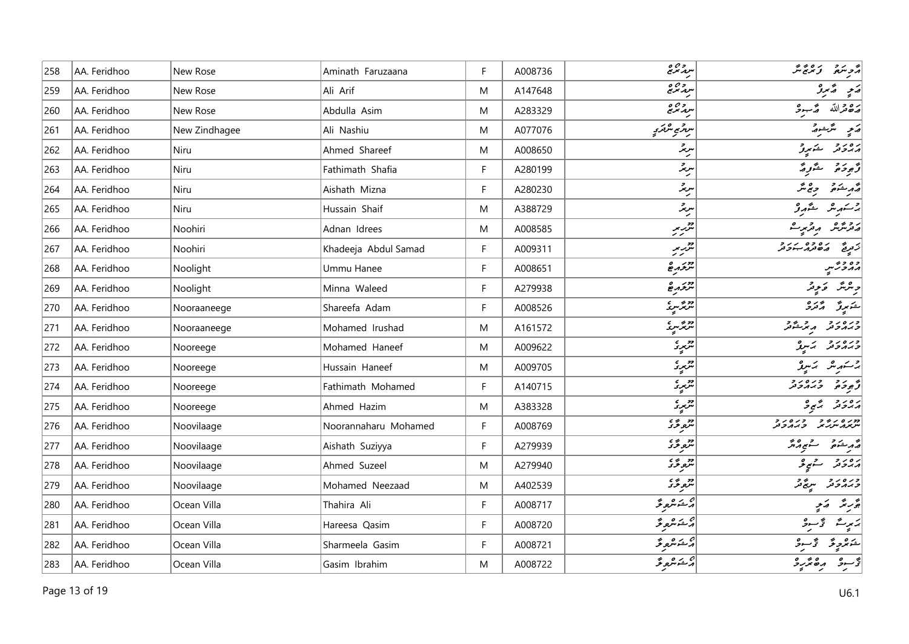| 258 | AA. Feridhoo | New Rose      | Aminath Faruzaana    | F  | A008736 | سروره<br>سروسمبر                   | أأرمن ومؤثر                                               |
|-----|--------------|---------------|----------------------|----|---------|------------------------------------|-----------------------------------------------------------|
| 259 | AA. Feridhoo | New Rose      | Ali Arif             | M  | A147648 | سروره                              | ړې په پرو                                                 |
| 260 | AA. Feridhoo | New Rose      | Abdulla Asim         | M  | A283329 | سروجيح                             | برە دالله گم جو                                           |
| 261 | AA. Feridhoo | New Zindhagee | Ali Nashiu           | M  | A077076 | سرهر بمحر معتري                    | ر<br>موسم مگر <u>مو</u> ر                                 |
| 262 | AA. Feridhoo | Niru          | Ahmed Shareef        | M  | A008650 | سرچر                               | رەر ئىيرۇ                                                 |
| 263 | AA. Feridhoo | <b>Niru</b>   | Fathimath Shafia     | F  | A280199 | سریڑ                               | وٌ و دَوَ شَوْرِ دُ                                       |
| 264 | AA. Feridhoo | Niru          | Aishath Mizna        | F  | A280230 | سرچر                               | وكروشكم وجانثر                                            |
| 265 | AA. Feridhoo | Niru          | Hussain Shaif        | M  | A388729 | سرچر                               | ر سەر شەرىق ئىقلىرى<br>مەسىر                              |
| 266 | AA. Feridhoo | Noohiri       | Adnan Idrees         | M  | A008585 | چژبر سر<br>سر                      | روم و مر <sub>م</sub> بر در م                             |
| 267 | AA. Feridhoo | Noohiri       | Khadeeja Abdul Samad | F  | A009311 | چیز بد<br>سربر                     | ره وه بر رو<br>پره تر پر سور تر<br> ترمدٍ شَجّ            |
| 268 | AA. Feridhoo | Noolight      | Ummu Hanee           | F. | A008651 | تربزره                             | <br>  ۱۸۸۵ ژبېر                                           |
| 269 | AA. Feridhoo | Noolight      | Minna Waleed         | F  | A279938 | ترىخەرچ                            | ويرتكر أوقيته                                             |
| 270 | AA. Feridhoo | Nooraaneege   | Shareefa Adam        | F  | A008526 | ترپژسر،                            | شَهِرِزٌ أَزْكَرُدُ                                       |
| 271 | AA. Feridhoo | Nooraaneege   | Mohamed Irushad      | M  | A161572 | دو پر<br>سربر سرپر                 |                                                           |
| 272 | AA. Feridhoo | Nooreege      | Mohamed Haneef       | M  | A009622 | دد<br>مترسری                       | ورەرو ئەرو                                                |
| 273 | AA. Feridhoo | Nooreege      | Hussain Haneef       | M  | A009705 | دد<br>مترسری                       | چەسىرىش بەيدىشى                                           |
| 274 | AA. Feridhoo | Nooreege      | Fathimath Mohamed    | F  | A140715 | دد<br>مترسمي د                     | أقبوح وره دو                                              |
| 275 | AA. Feridhoo | Nooreege      | Ahmed Hazim          | M  | A383328 | دد<br>مترسمي د                     | رەرد پەر                                                  |
| 276 | AA. Feridhoo | Noovilaage    | Noorannaharu Mohamed | F  | A008769 | دد پر پر<br>سر <sub>گر</sub> بر بر | و ره ر د<br>تر پر تر تر<br>دو ر ه ر ر به و<br>سربو پر سرب |
| 277 | AA. Feridhoo | Noovilaage    | Aishath Suziyya      | F  | A279939 | دد و د ،                           | وكرمشكم فستجارش                                           |
| 278 | AA. Feridhoo | Noovilaage    | Ahmed Suzeel         | M  | A279940 | دد په په<br>سرعو تر د              | رەرد ھېرى                                                 |
| 279 | AA. Feridhoo | Noovilaage    | Mohamed Neezaad      | M  | A402539 | دو پر پر<br>متر <sub>فع</sub> ر پر | و ر ه ر د<br>تر پر تر تر<br>سریح تر                       |
| 280 | AA. Feridhoo | Ocean Villa   | Thahira Ali          | F  | A008717 | م شەھرى <i>گە</i>                  | ەربە كەبىي<br>مەربە                                       |
| 281 | AA. Feridhoo | Ocean Villa   | Hareesa Qasim        | F  | A008720 | رمستەمى <i>رى</i> دىگە             | ېزىدىدىگە<br>ئ<br>$\frac{3}{5}$                           |
| 282 | AA. Feridhoo | Ocean Villa   | Sharmeela Gasim      | F. | A008721 | مەسىئە مىسى <i>م</i> ىر            | لمنكروني الأسرو                                           |
| 283 | AA. Feridhoo | Ocean Villa   | Gasim Ibrahim        | M  | A008722 | ە ئەئەمىرىدىگە<br>م                | و ده ده دره د                                             |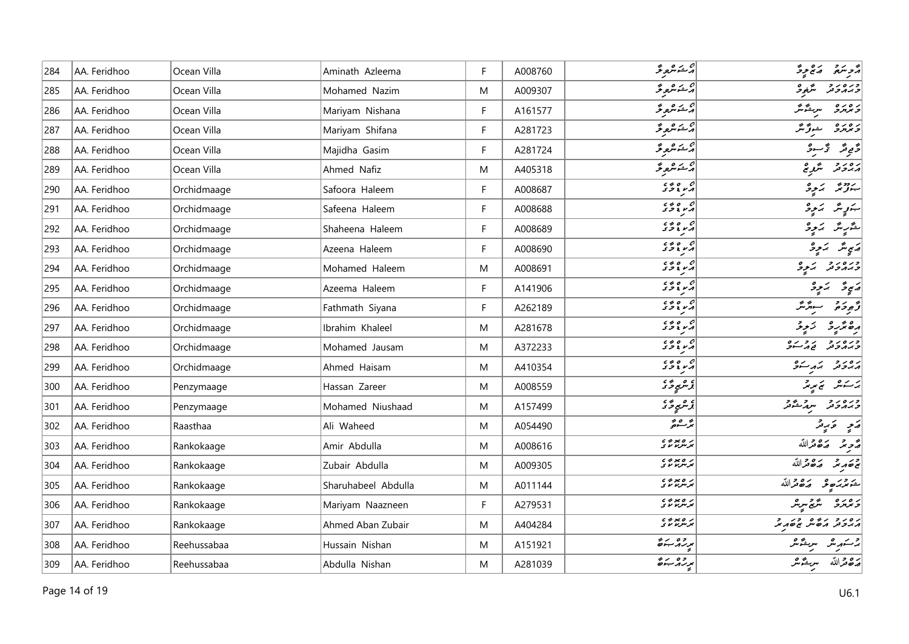| 284 | AA. Feridhoo | Ocean Villa | Aminath Azleema     | F  | A008760 | ئەسىئەمىش <i>ىر</i> ىگە         | أأروبتهم أأتموج                                          |
|-----|--------------|-------------|---------------------|----|---------|---------------------------------|----------------------------------------------------------|
| 285 | AA. Feridhoo | Ocean Villa | Mohamed Nazim       | M  | A009307 | رمسئە مى <i>گرى</i> مىتى<br>    | و ر ه ر د<br>تر پر ژ تر<br>سَّرْهُ پُر                   |
| 286 | AA. Feridhoo | Ocean Villa | Mariyam Nishana     | F. | A161577 | مەنئەمى <i>گە</i> بۇ            | سرىشەتتر<br>ر ه ر ه<br><del>ر</del> بربرگ                |
| 287 | AA. Feridhoo | Ocean Villa | Mariyam Shifana     | F. | A281723 | ە ئەنگىرىدىگر<br>مەنگىرىسى ئىس  | ىشىر ئ <sup>ە</sup> شكە<br>ر ه ر ه<br><del>ر</del> بربرگ |
| 288 | AA. Feridhoo | Ocean Villa | Majidha Gasim       | F  | A281724 | رم شهر محمد<br> <br> -          | دَّى مِدَّر تَوْسودْ                                     |
| 289 | AA. Feridhoo | Ocean Villa | Ahmed Nafiz         | M  | A405318 |                                 | بر ٥ پر و<br>مربر <del>و</del> تر<br>سَّرُو گَچ          |
| 290 | AA. Feridhoo | Orchidmaage | Safoora Haleem      | F  | A008687 | $rac{1}{555}$                   | بېروژ تروژ                                               |
| 291 | AA. Feridhoo | Orchidmaage | Safeena Haleem      | F  | A008688 |                                 | ښوپینګ ټرموی                                             |
| 292 | AA. Feridhoo | Orchidmaage | Shaheena Haleem     | F  | A008689 |                                 | ئىقىرىنىڭ بەيدى ئىچە                                     |
| 293 | AA. Feridhoo | Orchidmaage | Azeena Haleem       | F. | A008690 | ەر مەن<br>مەنبە جەنبى           | ړې پر برود                                               |
| 294 | AA. Feridhoo | Orchidmaage | Mohamed Haleem      | M  | A008691 |                                 | ورەرو روو                                                |
| 295 | AA. Feridhoo | Orchidmaage | Azeema Haleem       | F  | A141906 | ه<br>د سره د د                  | ړې په په کړې                                             |
| 296 | AA. Feridhoo | Orchidmaage | Fathmath Siyana     | F  | A262189 |                                 | و ده سرگړ                                                |
| 297 | AA. Feridhoo | Orchidmaage | Ibrahim Khaleel     | M  | A281678 | 55249                           | رەپرىر زېږ                                               |
| 298 | AA. Feridhoo | Orchidmaage | Mohamed Jausam      | M  | A372233 |                                 | ورەرو رورو                                               |
| 299 | AA. Feridhoo | Orchidmaage | Ahmed Haisam        | M  | A410354 |                                 | ورود بهرسكو                                              |
| 300 | AA. Feridhoo | Penzymaage  | Hassan Zareer       | M  | A008559 | ئۇيرىم ئۇ ئ                     | يُرْسَمْشْ الْمَجْمَعِيمْ                                |
| 301 | AA. Feridhoo | Penzymaage  | Mohamed Niushaad    | M  | A157499 | ۇ ئىرىپ <sub>و</sub> گرى        | ورەرو سەئقىر                                             |
| 302 | AA. Feridhoo | Raasthaa    | Ali Waheed          | M  | A054490 | پۇ مەمۇ                         | د و در د                                                 |
| 303 | AA. Feridhoo | Rankokaage  | Amir Abdulla        | M  | A008616 | ر ەيدىر<br>بىرس ما ي            | وحرم وكامترالله                                          |
| 304 | AA. Feridhoo | Rankokaage  | Zubair Abdulla      | M  | A009305 | ر ەيدىر<br>برس ما <sub>كى</sub> | تج صَمر مَرْ صَمَّرْ اللَّه                              |
| 305 | AA. Feridhoo | Rankokaage  | Sharuhabeel Abdulla | M  | A011144 | ر ٥ پر <i>٤ ٥</i><br>بر سربر ر  | خ <i>وير صوفر من ه</i> والله                             |
| 306 | AA. Feridhoo | Rankokaage  | Mariyam Naazneen    | F  | A279531 | ر ٥ پر دي<br>برس را ر           | دەرە شەر                                                 |
| 307 | AA. Feridhoo | Rankokaage  | Ahmed Aban Zubair   | M  | A404284 | ر ەيدىر<br>بىرس ما ي            | נפנ כ נגם כל ב                                           |
| 308 | AA. Feridhoo | Reehussabaa | Hussain Nishan      | M  | A151921 | پر ژويج ځ                       | چرىكىر سرىقىگە                                           |
| 309 | AA. Feridhoo | Reehussabaa | Abdulla Nishan      | M  | A281039 | <br> پریرویتو                   | رەقراللە سرىشەر                                          |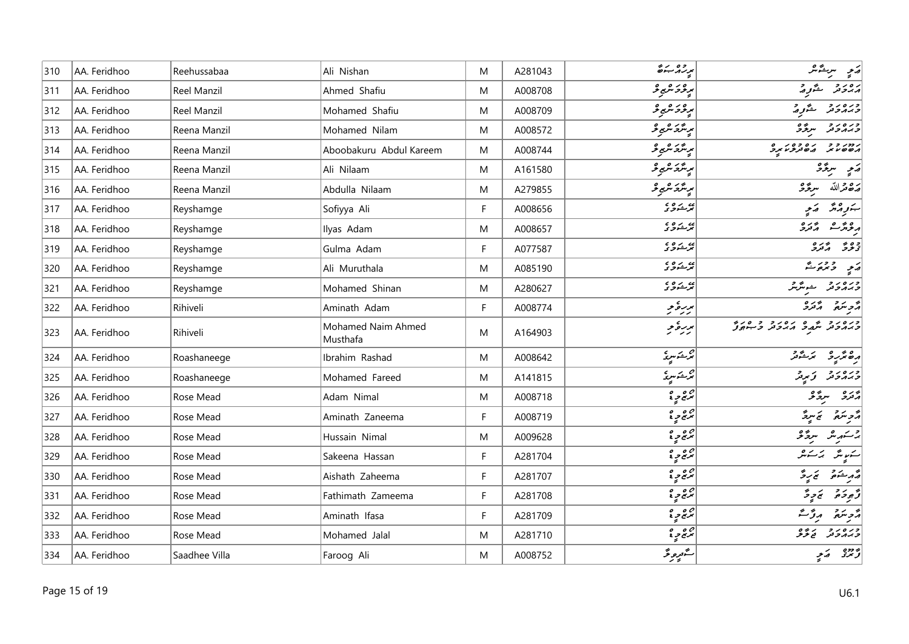| 310 | AA. Feridhoo  | Reehussabaa        | Ali Nishan                     | ${\sf M}$ | A281043 | ىررە بەيھ                         | ړې سرچينلر<br>مو                                          |
|-----|---------------|--------------------|--------------------------------|-----------|---------|-----------------------------------|-----------------------------------------------------------|
| 311 | AA. Feridhoo  | <b>Reel Manzil</b> | Ahmed Shafiu                   | ${\sf M}$ | A008708 | ىر دىر شرىر د                     | رەرو شرور                                                 |
| 312 | AA. Feridhoo  | Reel Manzil        | Mohamed Shafiu                 | M         | A008709 | ىر دىر شرىر د                     | ورەر دېم شگېږمى                                           |
| 313 | AA. Feridhoo  | Reena Manzil       | Mohamed Nilam                  | M         | A008572 | ىر ئىر ئە ئىر ئى                  | ورەر دەر                                                  |
| 314 | AA. Feridhoo  | Reena Manzil       | Aboobakuru Abdul Kareem        | M         | A008744 | برېترنه شرېو څه                   | נמני כר נסיפסנים                                          |
| 315 | AA. Feridhoo  | Reena Manzil       | Ali Nilaam                     | M         | A161580 | برېتمځه شمېر قر                   | أەيج سرمجرمحر                                             |
| 316 | AA. Feridhoo  | Reena Manzil       | Abdulla Nilaam                 | M         | A279855 | بريز تزير عربي قر                 | ة صحرالله<br>سربۇر                                        |
| 317 | AA. Feridhoo  | Reyshamge          | Sofiyya Ali                    | F         | A008656 | ەر بەرە ئ                         | بذودش مذر                                                 |
| 318 | AA. Feridhoo  | Reyshamge          | Ilyas Adam                     | M         | A008657 | پژشتون ی                          | د و شهر د برده                                            |
| 319 | AA. Feridhoo  | Reyshamge          | Gulma Adam                     | F         | A077587 | ه دره ۲<br>مرشوح د                | وه په پره<br>تحري مګر <i>و</i>                            |
| 320 | AA. Feridhoo  | Reyshamge          | Ali Muruthala                  | ${\sf M}$ | A085190 | ړے د c<br>مرشتوس                  | أەمو دىمدەن                                               |
| 321 | AA. Feridhoo  | Reyshamge          | Mohamed Shinan                 | ${\sf M}$ | A280627 | ړے د ٥<br>برشتوس ی                | ورەرو ھەرگە                                               |
| 322 | AA. Feridhoo  | Rihiveli           | Aminath Adam                   | F         | A008774 | ىررى بو<br>ئرىر قر                | أثرم سنده المرده                                          |
| 323 | IAA. Feridhoo | Rihiveli           | Mohamed Naim Ahmed<br>Musthafa | M         | A164903 | ىررۇپە                            | وره رو په ه ره رو و ه رد و<br>د بر برونر سمدن م برونر و ب |
| 324 | AA. Feridhoo  | Roashaneege        | Ibrahim Rashad                 | ${\sf M}$ | A008642 | ئۇيغۇمىيونكە                      | رە ئرىر ئىشكى                                             |
| 325 | AA. Feridhoo  | Roashaneege        | Mohamed Fareed                 | M         | A141815 | ئۇيغۇمىيونكە                      | ورورو زيرو                                                |
| 326 | AA. Feridhoo  | Rose Mead          | Adam Nimal                     | M         | A008718 | ە ە<br>ئىرىنى ج <sub>ە</sub> يۇ   | أرود سرده                                                 |
| 327 | AA. Feridhoo  | Rose Mead          | Aminath Zaneema                | F         | A008719 | مرج ح ؟<br>  مرج ح ؟              | أأدجن أأسراه                                              |
| 328 | AA. Feridhoo  | Rose Mead          | Hussain Nimal                  | M         | A009628 | 0 ه.<br>  مربع ح <sub>و</sub> ي   | جسكريش سرقرقر                                             |
| 329 | AA. Feridhoo  | Rose Mead          | Sakeena Hassan                 | F         | A281704 | 0 ه<br>مربع ح <sub>و</sub> ي      | سكرينش الكاسكون                                           |
| 330 | AA. Feridhoo  | Rose Mead          | Aishath Zaheema                | F         | A281707 | 0 ه.<br>  مربع ح <sub>و</sub> ي   | أقهر مشوقو سيم سيرقح                                      |
| 331 | AA. Feridhoo  | Rose Mead          | Fathimath Zameema              | F         | A281708 | ترج ح ؟                           | توجوجو نمرج                                               |
| 332 | AA. Feridhoo  | Rose Mead          | Aminath Ifasa                  | F         | A281709 | لتجمع حيء                         | أرمحه سرائح ستركسته                                       |
| 333 | AA. Feridhoo  | Rose Mead          | Mohamed Jalal                  | M         | A281710 | 0 ه ه ح و ۹<br>مربع ح و ۹         | ورەر د روە<br><mark>دىرەرىر يى ت</mark> رى                |
| 334 | AA. Feridhoo  | Saadhee Villa      | Faroog Ali                     | ${\sf M}$ | A008752 | گ <sup>ە</sup> ترە ئ <sup>ۇ</sup> | د دده په کمبر                                             |
|     |               |                    |                                |           |         |                                   |                                                           |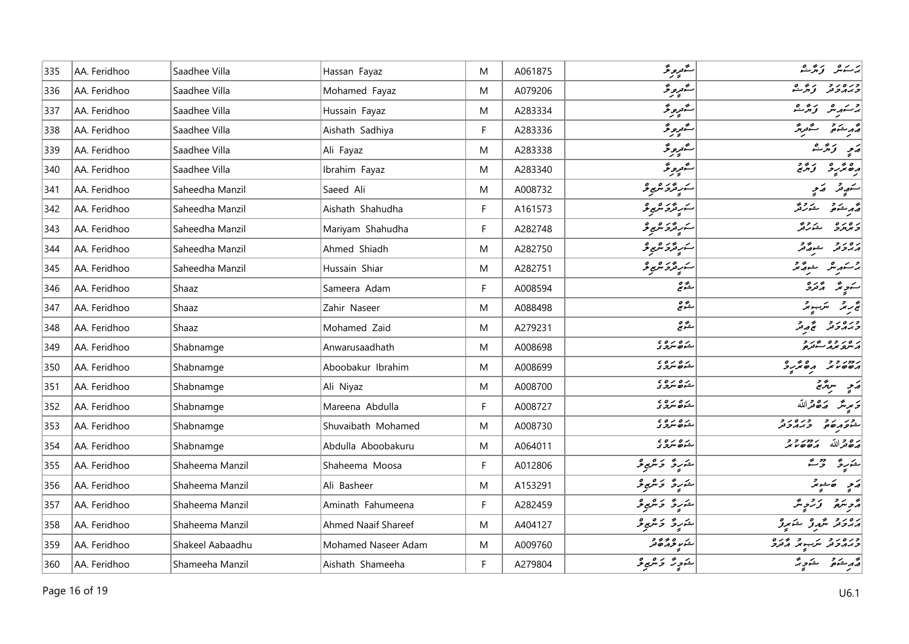| 335 | AA. Feridhoo | Saadhee Villa    | Hassan Fayaz               | M  | A061875 | سە <sub>تىرەم</sub> ۇ<br>ئىس <u>سى</u> ر | ير سەنئە ئۇ ئۇرشە                    |
|-----|--------------|------------------|----------------------------|----|---------|------------------------------------------|--------------------------------------|
| 336 | AA. Feridhoo | Saadhee Villa    | Mohamed Fayaz              | M  | A079206 | سەدىرە ئۇ<br>ئ                           | ورەرو روم.                           |
| 337 | AA. Feridhoo | Saadhee Villa    | Hussain Fayaz              | M  | A283334 | سەمەرە ئۇ<br>ئەم                         | يرحكه توارثه                         |
| 338 | AA. Feridhoo | Saadhee Villa    | Aishath Sadhiya            | F. | A283336 | سەمەر<br>ئەسرەرىتى                       | و ديده شوروگر<br>درستونو شورگر       |
| 339 | AA. Feridhoo | Saadhee Villa    | Ali Fayaz                  | M  | A283338 | سەمەر<br>سەم                             | ړې زېږه                              |
| 340 | AA. Feridhoo | Saadhee Villa    | Ibrahim Fayaz              | M  | A283340 | ر<br>سە <sub>توپو</sub> ر                | وهنر و زمر                           |
| 341 | AA. Feridhoo | Saheedha Manzil  | Saeed Ali                  | M  | A008732 | سە پەنگە ئەتكى بىر                       | سكهيش وكمني                          |
| 342 | AA. Feridhoo | Saheedha Manzil  | Aishath Shahudha           | F  | A161573 | سەر ئە <i>ڭرى</i> ئىرى<br>ئ              |                                      |
| 343 | AA. Feridhoo | Saheedha Manzil  | Mariyam Shahudha           | F  | A282748 | سەر ئەردىسى ئى                           | رەرە مەدەر<br><i>دى</i> رىرى مەرىر   |
| 344 | AA. Feridhoo | Saheedha Manzil  | Ahmed Shiadh               | M  | A282750 | <i>ے پەنگە شىرى</i> ئە                   | رەر ئەرگە<br>مەركى ئىمەد             |
| 345 | AA. Feridhoo | Saheedha Manzil  | Hussain Shiar              | M  | A282751 | ئەر ئە <i>ر ئەرى بىر بى</i> ر            | بركستهر شرور المحر                   |
| 346 | AA. Feridhoo | Shaaz            | Sameera Adam               | F  | A008594 | يدمج                                     | أسكو يمر المجردة                     |
| 347 | AA. Feridhoo | Shaaz            | Zahir Naseer               | M  | A088498 | شەم                                      | ې پرېژ سر <sub>سومر</sub><br>م       |
| 348 | AA. Feridhoo | Shaaz            | Mohamed Zaid               | M  | A279231 | شەم                                      | ورەرو ئەر                            |
| 349 | AA. Feridhoo | Shabnamge        | Anwarusaadhath             | M  | A008698 | شەھ سرچ ي                                | ر ٥ ر و ٥ ر ٥ ر و<br>د سره مرد سنوره |
| 350 | AA. Feridhoo | Shabnamge        | Aboobakur Ibrahim          | M  | A008699 | شەھ سرچ ي                                |                                      |
| 351 | AA. Feridhoo | Shabnamge        | Ali Niyaz                  | M  | A008700 | شەھ سرچ ي                                | أتدمج سروجي                          |
| 352 | AA. Feridhoo | Shabnamge        | Mareena Abdulla            | F. | A008727 | ر <i>ە</i> رە ،<br>شەھ سرچ <sub>ك</sub>  | 5ميتر <b>تەھ</b> تراللە              |
| 353 | AA. Feridhoo | Shabnamge        | Shuvaibath Mohamed         | M  | A008730 | ر <i>ە</i> رە ،<br>شەھ سرچ <sub>ك</sub>  |                                      |
| 354 | AA. Feridhoo | Shabnamge        | Abdulla Aboobakuru         | M  | A064011 | شەھ سرە ئ                                | مەھىراللە<br>77/77/                  |
| 355 | AA. Feridhoo | Shaheema Manzil  | Shaheema Moosa             | F  | A012806 | خرگ كەھرىم                               | لمذروح وحرث                          |
| 356 | AA. Feridhoo | Shaheema Manzil  | Ali Basheer                | M  | A153291 | المذروّ وتقومو                           | أركمني كالمشويمر                     |
| 357 | AA. Feridhoo | Shaheema Manzil  | Aminath Fahumeena          | F  | A282459 | خرگ كالمبر                               | أأدمنغ وكرديثر                       |
| 358 | AA. Feridhoo | Shaheema Manzil  | <b>Ahmed Naaif Shareef</b> | M  | A404127 | خنزلة الاشهاد                            | أرودة المروق الحامرو                 |
| 359 | AA. Feridhoo | Shakeel Aabaadhu | Mohamed Naseer Adam        | M  | A009760 | شەر ۋە ئەقر                              | ورەرو شبەت ئەرە                      |
| 360 | AA. Feridhoo | Shameeha Manzil  | Aishath Shameeha           | F  | A279804 | ڪوپر وکري و                              | أمام يشكم فستكور                     |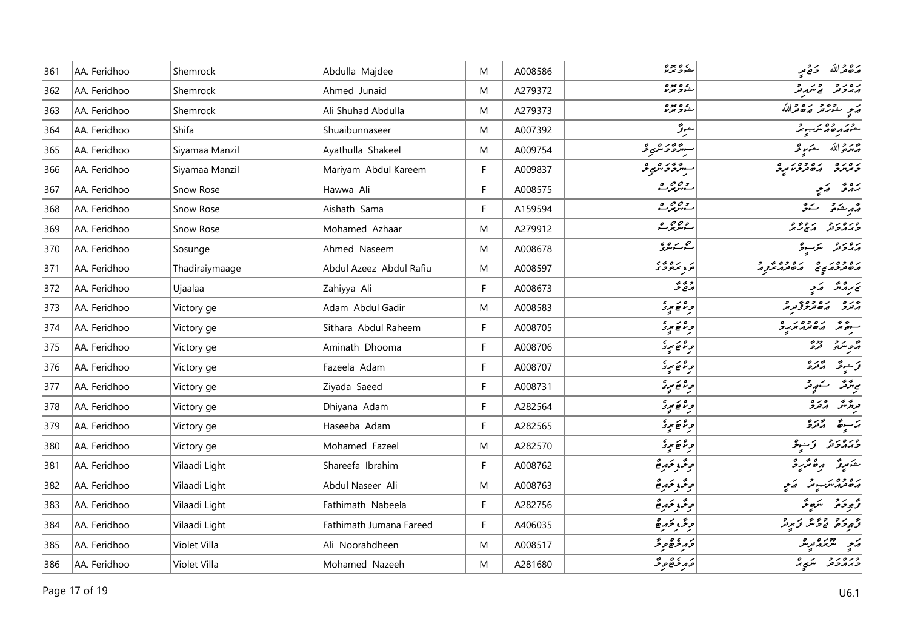| 361 | AA. Feridhoo | Shemrock         | Abdulla Majdee          | M  | A008586 | ے ہ یو ہ<br>مشوق تنزی          | بره والله كروير                     |
|-----|--------------|------------------|-------------------------|----|---------|--------------------------------|-------------------------------------|
| 362 | AA. Feridhoo | Shemrock         | Ahmed Junaid            | M  | A279372 | ے ہ برہ<br>شور ہریا            | أرور ويمدد                          |
| 363 | AA. Feridhoo | Shemrock         | Ali Shuhad Abdulla      | M  | A279373 | ے ہ برہ<br>شور بمرن            | أرسمج فشرتكر وكاله تدالله           |
| 364 | AA. Feridhoo | Shifa            | Shuaibunnaseer          | M  | A007392 | ىشەۋ                           | شور مره و مرسومر                    |
| 365 | AA. Feridhoo | Siyamaa Manzil   | Ayathulla Shakeel       | M  | A009754 | سەز <i>ۋە ئەتتى ۋ</i>          | مَرْمَرِ اللّه شَمَعِ مَ            |
| 366 | AA. Feridhoo | Siyamaa Manzil   | Mariyam Abdul Kareem    | F  | A009837 | –«ژَدَّ دَ سْرَ دْ             | נפנפ נפנפנים כ                      |
| 367 | AA. Feridhoo | Snow Rose        | Hawwa Ali               | F  | A008575 | ۔<br>شریر م                    | بروی کمی                            |
| 368 | AA. Feridhoo | Snow Rose        | Aishath Sama            | F. | A159594 | <u>ر و ه هر ه</u>              | ۇرمىشمۇ سىۋ                         |
| 369 | AA. Feridhoo | <b>Snow Rose</b> | Mohamed Azhaar          | M  | A279912 | ر<br>سەنگە <i>رىگە</i>         | כנסנכ נכשב<br>בגמכני השנית          |
| 370 | AA. Feridhoo | Sosunge          | Ahmed Naseem            | M  | A008678 | <u>م</u> مەكەندى               | أرور و مرسوفر                       |
| 371 | AA. Feridhoo | Thadiraiymaage   | Abdul Azeez Abdul Rafiu | M  | A008597 | ائر بره و د ،<br>افزیر مرکز د  | נסכסגם מסכסת כ<br>הסט <i>כה בצ</i>  |
| 372 | AA. Feridhoo | Ujaalaa          | Zahiyya Ali             | F. | A008673 | و په بخ<br>مربح نخر            | تجرير يمنح                          |
| 373 | AA. Feridhoo | Victory ge       | Adam Abdul Gadir        | M  | A008583 | ە ئەھ ئىرىمى<br>ئىرىم ئىس      | دره ده دوود د<br>مهرد ماه ترود ترتر |
| 374 | AA. Feridhoo | Victory ge       | Sithara Abdul Raheem    | F  | A008705 | ه ره عا مر <sub>ځ</sub>        | - 10707 14                          |
| 375 | AA. Feridhoo | Victory ge       | Aminath Dhooma          | F  | A008706 | ه ره عا مر <sup>ج</sup><br>ر   | وو پر<br>تورگ<br>أأرمز تنهجر        |
| 376 | AA. Feridhoo | Victory ge       | Fazeela Adam            | F  | A008707 | و را ڪ <sub>اڻيو</sub> کا      | ۇخەتى<br>پور ہ<br>مرکزو             |
| 377 | AA. Feridhoo | Victory ge       | Ziyada Saeed            | F  | A008731 | ء راء ڪ <sub>ا مير</sub> ج     | ى ئەرگىر سىم ئىگە                   |
| 378 | AA. Feridhoo | Victory ge       | Dhiyana Adam            | F. | A282564 | و را ڪ <sub>ا مور</sub> ي      | ورژنتر مروره                        |
| 379 | AA. Feridhoo | Victory ge       | Haseeba Adam            | F  | A282565 | ه ره عا مور <sup>ي</sup><br>مر | بزيدة<br>پھر ہ<br>مرکز              |
| 380 | AA. Feridhoo | Victory ge       | Mohamed Fazeel          | M  | A282570 | ه ره عا مور <sup>ي</sup><br>ر  | ورەرو تەسو                          |
| 381 | AA. Feridhoo | Vilaadi Light    | Shareefa Ibrahim        | F  | A008762 | و دڅه د کره<br>د               | خويرق رەقىرىر                       |
| 382 | AA. Feridhoo | Vilaadi Light    | Abdul Naseer Ali        | M  | A008763 | ومرتج ذكره                     | גם כפית היה ה'ב                     |
| 383 | AA. Feridhoo | Vilaadi Light    | Fathimath Nabeela       | F  | A282756 | وقروخهره                       | توجوخوا التمام فليستنبه             |
| 384 | AA. Feridhoo | Vilaadi Light    | Fathimath Jumana Fareed | F  | A406035 | ع محَّ د حَرم <u>ع</u>         | و دو وویژ ویږد                      |
| 385 | AA. Feridhoo | Violet Villa     | Ali Noorahdheen         | M  | A008517 | دېروگچورگ                      | ر<br>مزید سر <i>مرد</i> مر          |
| 386 | AA. Feridhoo | Violet Villa     | Mohamed Nazeeh          | M  | A281680 | وَرِدْعُ وِدَّ                 | ورەر د سرې                          |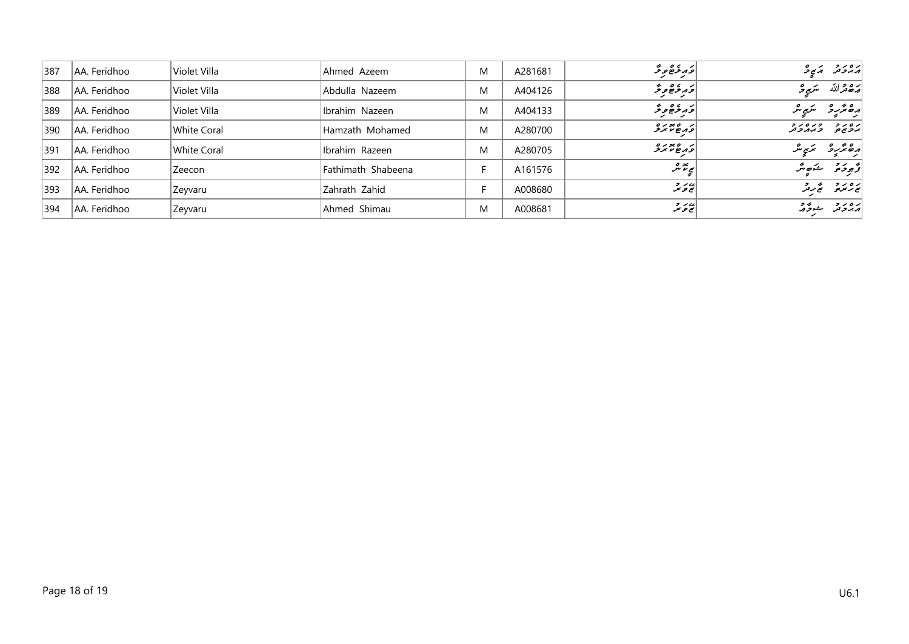| 387 | IAA. Feridhoo | Violet Villa       | Ahmed Azeem        | M | A281681 | ئەمرىقى بەڭر     | أرەر دىرە                     |
|-----|---------------|--------------------|--------------------|---|---------|------------------|-------------------------------|
| 388 | AA. Feridhoo  | Violet Villa       | Abdulla Nazeem     | M | A404126 | دَرځهٔ ه مَرَّ   | ح قوترالله سرى و              |
| 389 | AA. Feridhoo  | Violet Villa       | Ibrahim Nazeen     | M | A404133 | ئەمرىقى بەڭر     | رە ئرىر ئىستى ئىس             |
| 390 | IAA. Feridhoo | <b>White Coral</b> | Hamzath Mohamed    | M | A280700 | در ۱۳۵۵ ترو      | ره رد دره رد<br>پرونج د کردگر |
| 391 | IAA. Feridhoo | <b>White Coral</b> | Ibrahim Razeen     | M | A280705 | در ۱۳۵۵ ترو      | ارەھ ئۇر ئىستى ئىس            |
| 392 | AA. Feridhoo  | Zeecon             | Fathimath Shabeena |   | A161576 | ىچ تىر شر        | توجوح شكومتر                  |
| 393 | IAA. Feridhoo | Zeyvaru            | Zahrath Zahid      |   | A008680 | ہے ر ح<br> مح مر | د ۱۵ د می محمد مقر            |
| 394 | AA. Feridhoo  | Zeyvaru            | Ahmed Shimau       | M | A008681 | پی پر چ          | ره رو در دو<br>(پروتر شودها   |